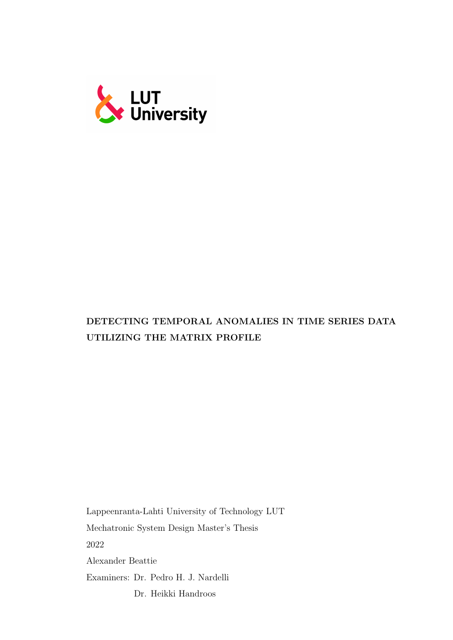

# DETECTING TEMPORAL ANOMALIES IN TIME SERIES DATA UTILIZING THE MATRIX PROFILE

Lappeenranta-Lahti University of Technology LUT Mechatronic System Design Master's Thesis 2022 Alexander Beattie Examiners: Dr. Pedro H. J. Nardelli Dr. Heikki Handroos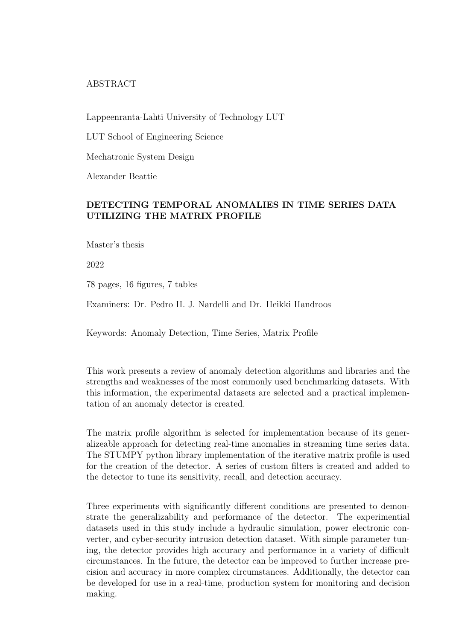## ABSTRACT

Lappeenranta-Lahti University of Technology LUT

LUT School of Engineering Science

Mechatronic System Design

Alexander Beattie

# DETECTING TEMPORAL ANOMALIES IN TIME SERIES DATA UTILIZING THE MATRIX PROFILE

Master's thesis

2022

78 pages, 16 figures, 7 tables

Examiners: Dr. Pedro H. J. Nardelli and Dr. Heikki Handroos

Keywords: Anomaly Detection, Time Series, Matrix Profile

This work presents a review of anomaly detection algorithms and libraries and the strengths and weaknesses of the most commonly used benchmarking datasets. With this information, the experimental datasets are selected and a practical implementation of an anomaly detector is created.

The matrix profile algorithm is selected for implementation because of its generalizeable approach for detecting real-time anomalies in streaming time series data. The STUMPY python library implementation of the iterative matrix profile is used for the creation of the detector. A series of custom filters is created and added to the detector to tune its sensitivity, recall, and detection accuracy.

Three experiments with significantly different conditions are presented to demonstrate the generalizability and performance of the detector. The experimential datasets used in this study include a hydraulic simulation, power electronic converter, and cyber-security intrusion detection dataset. With simple parameter tuning, the detector provides high accuracy and performance in a variety of difficult circumstances. In the future, the detector can be improved to further increase precision and accuracy in more complex circumstances. Additionally, the detector can be developed for use in a real-time, production system for monitoring and decision making.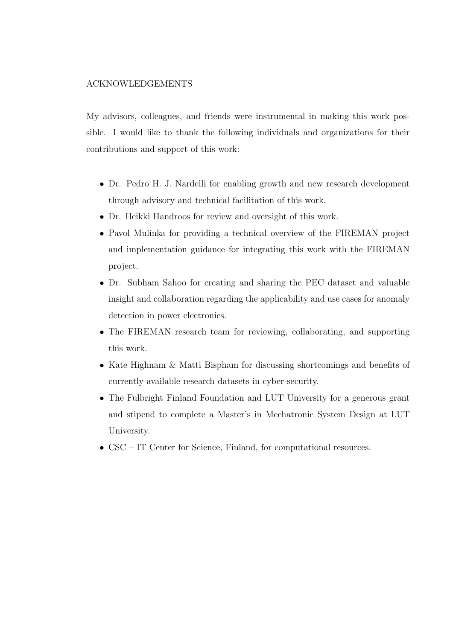#### ACKNOWLEDGEMENTS

My advisors, colleagues, and friends were instrumental in making this work possible. I would like to thank the following individuals and organizations for their contributions and support of this work:

- Dr. Pedro H. J. Nardelli for enabling growth and new research development through advisory and technical facilitation of this work.
- Dr. Heikki Handroos for review and oversight of this work.
- Pavol Mulinka for providing a technical overview of the FIREMAN project and implementation guidance for integrating this work with the FIREMAN project.
- Dr. Subham Sahoo for creating and sharing the PEC dataset and valuable insight and collaboration regarding the applicability and use cases for anomaly detection in power electronics.
- The FIREMAN research team for reviewing, collaborating, and supporting this work.
- Kate Highnam & Matti Bispham for discussing shortcomings and benefits of currently available research datasets in cyber-security.
- The Fulbright Finland Foundation and LUT University for a generous grant and stipend to complete a Master's in Mechatronic System Design at LUT University.
- CSC IT Center for Science, Finland, for computational resources.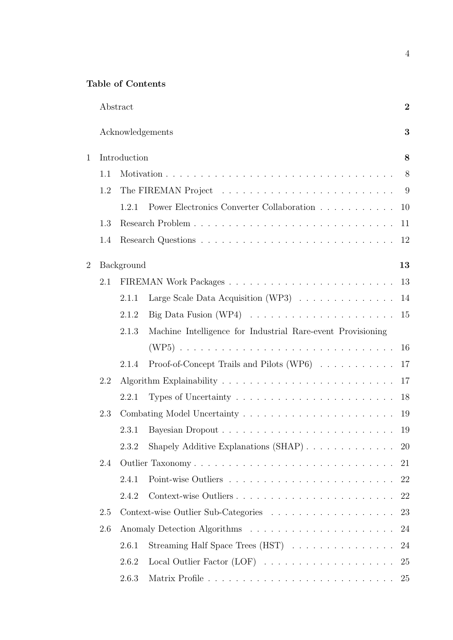# Table of Contents

|                |              | Abstract   |                                                                             | $\boldsymbol{2}$ |  |  |  |
|----------------|--------------|------------|-----------------------------------------------------------------------------|------------------|--|--|--|
|                |              |            | Acknowledgements                                                            | 3                |  |  |  |
| $\mathbf{1}$   | Introduction |            |                                                                             |                  |  |  |  |
|                | 1.1          |            |                                                                             | 8                |  |  |  |
|                | 1.2          |            | The FIREMAN Project $\dots \dots \dots \dots \dots \dots \dots \dots \dots$ | 9                |  |  |  |
|                |              | 1.2.1      | Power Electronics Converter Collaboration                                   | 10               |  |  |  |
|                | 1.3          |            |                                                                             | 11               |  |  |  |
|                | 1.4          |            |                                                                             | 12               |  |  |  |
| $\overline{2}$ |              | Background |                                                                             | 13               |  |  |  |
|                | 2.1          |            |                                                                             | 13               |  |  |  |
|                |              | 2.1.1      | Large Scale Data Acquisition (WP3) $\ldots \ldots \ldots \ldots$            | 14               |  |  |  |
|                |              | 2.1.2      | Big Data Fusion (WP4) $\ldots \ldots \ldots \ldots \ldots \ldots \ldots$    | 15               |  |  |  |
|                |              | 2.1.3      | Machine Intelligence for Industrial Rare-event Provisioning                 |                  |  |  |  |
|                |              |            |                                                                             | 16               |  |  |  |
|                |              | 2.1.4      | Proof-of-Concept Trails and Pilots (WP6)                                    | 17               |  |  |  |
|                | 2.2          | 17         |                                                                             |                  |  |  |  |
|                |              | 2.2.1      | Types of Uncertainty $\ldots \ldots \ldots \ldots \ldots \ldots \ldots$     | 18               |  |  |  |
|                | 2.3          |            |                                                                             |                  |  |  |  |
|                |              | 2.3.1      |                                                                             | 19               |  |  |  |
|                |              | 2.3.2      |                                                                             | 20               |  |  |  |
|                | 2.4          |            | Outlier Taxonomy                                                            | 21               |  |  |  |
|                |              | 2.4.1      |                                                                             | 22               |  |  |  |
|                |              | 2.4.2      | Context-wise Outliers                                                       | 22               |  |  |  |
|                | 2.5          |            |                                                                             | 23               |  |  |  |
|                | 2.6          | 24         |                                                                             |                  |  |  |  |
|                |              | 2.6.1      | Streaming Half Space Trees (HST)                                            | 24               |  |  |  |
|                |              | 2.6.2      |                                                                             | 25               |  |  |  |
|                |              | 2.6.3      |                                                                             | 25               |  |  |  |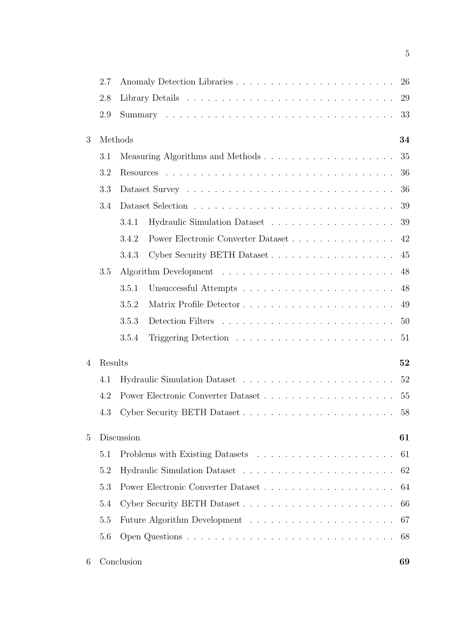|   | 2.7     |                                             |    |  |  |  |
|---|---------|---------------------------------------------|----|--|--|--|
|   | 2.8     |                                             |    |  |  |  |
|   | 2.9     | 33                                          |    |  |  |  |
| 3 | Methods |                                             | 34 |  |  |  |
|   | 3.1     |                                             | 35 |  |  |  |
|   | 3.2     |                                             | 36 |  |  |  |
|   | 3.3     |                                             | 36 |  |  |  |
|   | 3.4     |                                             | 39 |  |  |  |
|   |         | 3.4.1                                       | 39 |  |  |  |
|   |         | Power Electronic Converter Dataset<br>3.4.2 | 42 |  |  |  |
|   |         | Cyber Security BETH Dataset<br>3.4.3        | 45 |  |  |  |
|   | 3.5     |                                             | 48 |  |  |  |
|   |         | 3.5.1                                       | 48 |  |  |  |
|   |         | 3.5.2                                       | 49 |  |  |  |
|   |         | 3.5.3                                       | 50 |  |  |  |
|   |         | 3.5.4                                       | 51 |  |  |  |
| 4 | Results |                                             | 52 |  |  |  |
|   | 4.1     |                                             | 52 |  |  |  |
|   | 4.2     |                                             | 55 |  |  |  |
|   | 4.3     | Cyber Security BETH Dataset                 | 58 |  |  |  |
| 5 |         | Discussion                                  | 61 |  |  |  |
|   | 5.1     |                                             | 61 |  |  |  |
|   | 5.2     |                                             | 62 |  |  |  |
|   | 5.3     |                                             | 64 |  |  |  |
|   | 5.4     |                                             | 66 |  |  |  |
|   | 5.5     |                                             | 67 |  |  |  |
|   | 5.6     |                                             | 68 |  |  |  |
| 6 |         | Conclusion                                  | 69 |  |  |  |

5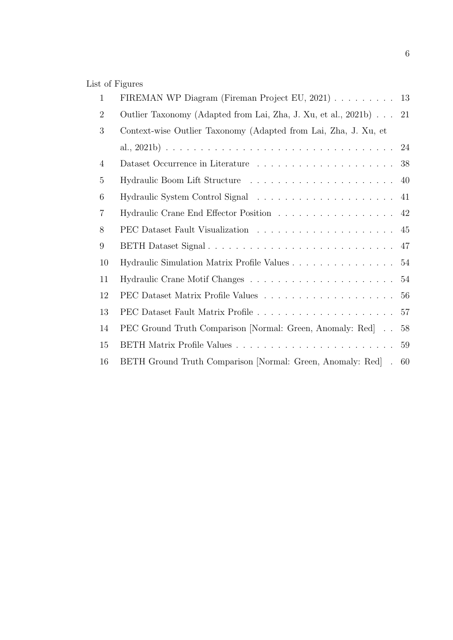# List of Figures

| FIREMAN WP Diagram (Fireman Project EU, 2021) 13                |    |  |  |  |
|-----------------------------------------------------------------|----|--|--|--|
| Outlier Taxonomy (Adapted from Lai, Zha, J. Xu, et al., 2021b)  | 21 |  |  |  |
| Context-wise Outlier Taxonomy (Adapted from Lai, Zha, J. Xu, et |    |  |  |  |
|                                                                 |    |  |  |  |
|                                                                 | 38 |  |  |  |
|                                                                 |    |  |  |  |
|                                                                 |    |  |  |  |
|                                                                 | 42 |  |  |  |
|                                                                 | 45 |  |  |  |
|                                                                 | 47 |  |  |  |
| Hydraulic Simulation Matrix Profile Values                      | 54 |  |  |  |
|                                                                 | 54 |  |  |  |
|                                                                 | 56 |  |  |  |
|                                                                 | 57 |  |  |  |
| PEC Ground Truth Comparison [Normal: Green, Anomaly: Red]       | 58 |  |  |  |
|                                                                 | 59 |  |  |  |
| BETH Ground Truth Comparison [Normal: Green, Anomaly: Red] . 60 |    |  |  |  |
|                                                                 |    |  |  |  |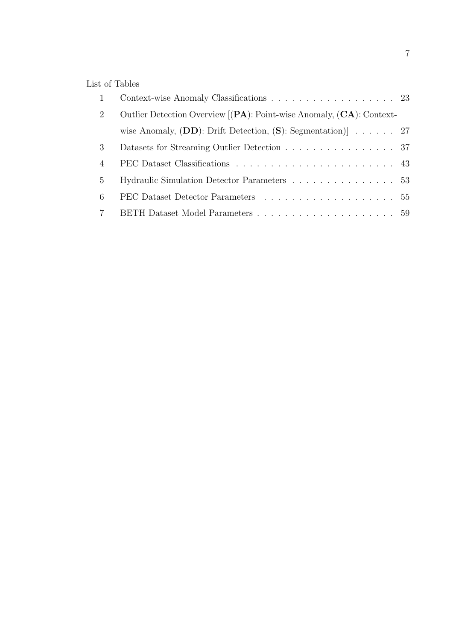# List of Tables

|                | Context-wise Anomaly Classifications 23                                   |  |
|----------------|---------------------------------------------------------------------------|--|
| 2              | Outlier Detection Overview [(PA): Point-wise Anomaly, (CA): Context-      |  |
|                | wise Anomaly, $(DD)$ : Drift Detection, $(S)$ : Segmentation) $\ldots$ 27 |  |
| 3              | Datasets for Streaming Outlier Detection 37                               |  |
| $\overline{4}$ |                                                                           |  |
| $\frac{5}{2}$  | Hydraulic Simulation Detector Parameters 53                               |  |
| 6              |                                                                           |  |
|                |                                                                           |  |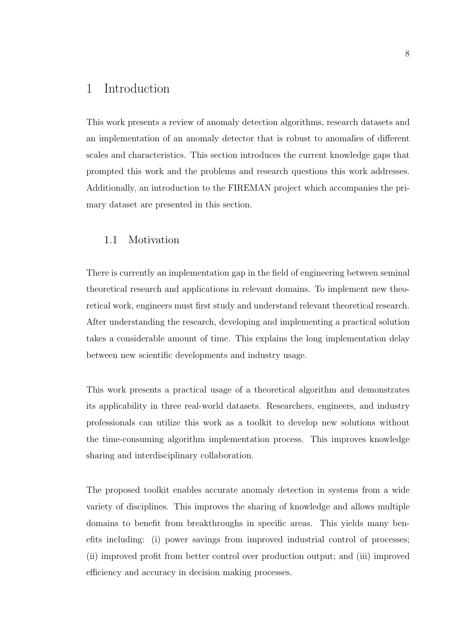# 1 Introduction

This work presents a review of anomaly detection algorithms, research datasets and an implementation of an anomaly detector that is robust to anomalies of different scales and characteristics. This section introduces the current knowledge gaps that prompted this work and the problems and research questions this work addresses. Additionally, an introduction to the FIREMAN project which accompanies the primary dataset are presented in this section.

### 1.1 Motivation

There is currently an implementation gap in the field of engineering between seminal theoretical research and applications in relevant domains. To implement new theoretical work, engineers must first study and understand relevant theoretical research. After understanding the research, developing and implementing a practical solution takes a considerable amount of time. This explains the long implementation delay between new scientific developments and industry usage.

This work presents a practical usage of a theoretical algorithm and demonstrates its applicability in three real-world datasets. Researchers, engineers, and industry professionals can utilize this work as a toolkit to develop new solutions without the time-consuming algorithm implementation process. This improves knowledge sharing and interdisciplinary collaboration.

The proposed toolkit enables accurate anomaly detection in systems from a wide variety of disciplines. This improves the sharing of knowledge and allows multiple domains to benefit from breakthroughs in specific areas. This yields many benefits including: (i) power savings from improved industrial control of processes; (ii) improved profit from better control over production output; and (iii) improved efficiency and accuracy in decision making processes.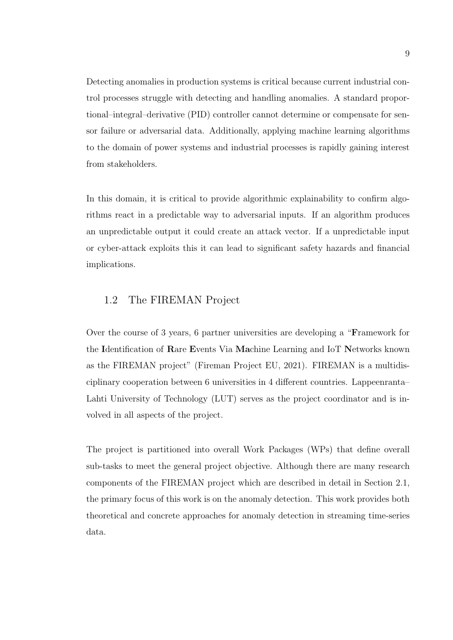Detecting anomalies in production systems is critical because current industrial control processes struggle with detecting and handling anomalies. A standard proportional–integral–derivative (PID) controller cannot determine or compensate for sensor failure or adversarial data. Additionally, applying machine learning algorithms to the domain of power systems and industrial processes is rapidly gaining interest from stakeholders.

In this domain, it is critical to provide algorithmic explainability to confirm algorithms react in a predictable way to adversarial inputs. If an algorithm produces an unpredictable output it could create an attack vector. If a unpredictable input or cyber-attack exploits this it can lead to significant safety hazards and financial implications.

## 1.2 The FIREMAN Project

Over the course of 3 years, 6 partner universities are developing a "Framework for the Identification of Rare Events Via Machine Learning and IoT Networks known as the FIREMAN project" (Fireman Project EU, 2021). FIREMAN is a multidisciplinary cooperation between 6 universities in 4 different countries. Lappeenranta– Lahti University of Technology (LUT) serves as the project coordinator and is involved in all aspects of the project.

The project is partitioned into overall Work Packages (WPs) that define overall sub-tasks to meet the general project objective. Although there are many research components of the FIREMAN project which are described in detail in Section 2.1, the primary focus of this work is on the anomaly detection. This work provides both theoretical and concrete approaches for anomaly detection in streaming time-series data.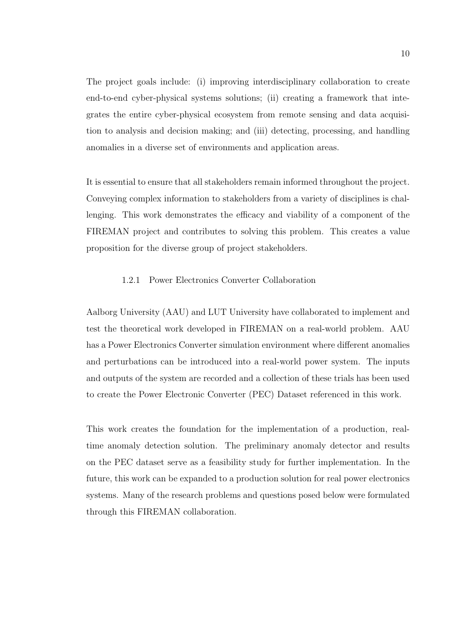The project goals include: (i) improving interdisciplinary collaboration to create end-to-end cyber-physical systems solutions; (ii) creating a framework that integrates the entire cyber-physical ecosystem from remote sensing and data acquisition to analysis and decision making; and (iii) detecting, processing, and handling anomalies in a diverse set of environments and application areas.

It is essential to ensure that all stakeholders remain informed throughout the project. Conveying complex information to stakeholders from a variety of disciplines is challenging. This work demonstrates the efficacy and viability of a component of the FIREMAN project and contributes to solving this problem. This creates a value proposition for the diverse group of project stakeholders.

### 1.2.1 Power Electronics Converter Collaboration

Aalborg University (AAU) and LUT University have collaborated to implement and test the theoretical work developed in FIREMAN on a real-world problem. AAU has a Power Electronics Converter simulation environment where different anomalies and perturbations can be introduced into a real-world power system. The inputs and outputs of the system are recorded and a collection of these trials has been used to create the Power Electronic Converter (PEC) Dataset referenced in this work.

This work creates the foundation for the implementation of a production, realtime anomaly detection solution. The preliminary anomaly detector and results on the PEC dataset serve as a feasibility study for further implementation. In the future, this work can be expanded to a production solution for real power electronics systems. Many of the research problems and questions posed below were formulated through this FIREMAN collaboration.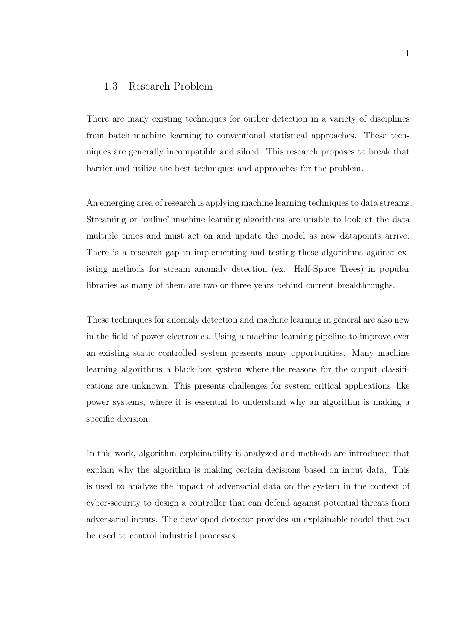### 1.3 Research Problem

There are many existing techniques for outlier detection in a variety of disciplines from batch machine learning to conventional statistical approaches. These techniques are generally incompatible and siloed. This research proposes to break that barrier and utilize the best techniques and approaches for the problem.

An emerging area of research is applying machine learning techniques to data streams. Streaming or 'online' machine learning algorithms are unable to look at the data multiple times and must act on and update the model as new datapoints arrive. There is a research gap in implementing and testing these algorithms against existing methods for stream anomaly detection (ex. Half-Space Trees) in popular libraries as many of them are two or three years behind current breakthroughs.

These techniques for anomaly detection and machine learning in general are also new in the field of power electronics. Using a machine learning pipeline to improve over an existing static controlled system presents many opportunities. Many machine learning algorithms a black-box system where the reasons for the output classifications are unknown. This presents challenges for system critical applications, like power systems, where it is essential to understand why an algorithm is making a specific decision.

In this work, algorithm explainability is analyzed and methods are introduced that explain why the algorithm is making certain decisions based on input data. This is used to analyze the impact of adversarial data on the system in the context of cyber-security to design a controller that can defend against potential threats from adversarial inputs. The developed detector provides an explainable model that can be used to control industrial processes.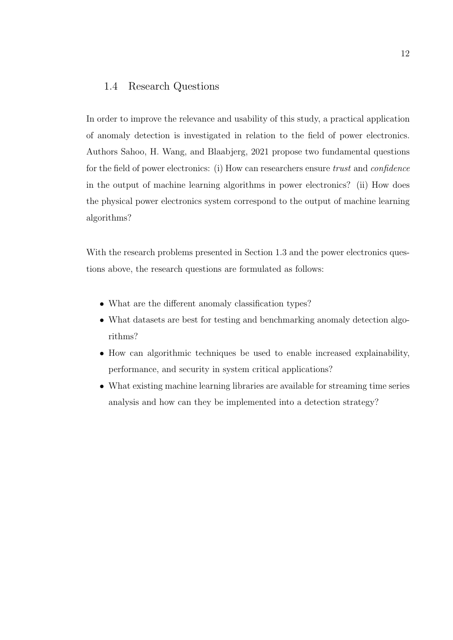### 1.4 Research Questions

In order to improve the relevance and usability of this study, a practical application of anomaly detection is investigated in relation to the field of power electronics. Authors Sahoo, H. Wang, and Blaabjerg, 2021 propose two fundamental questions for the field of power electronics: (i) How can researchers ensure trust and confidence in the output of machine learning algorithms in power electronics? (ii) How does the physical power electronics system correspond to the output of machine learning algorithms?

With the research problems presented in Section 1.3 and the power electronics questions above, the research questions are formulated as follows:

- What are the different anomaly classification types?
- What datasets are best for testing and benchmarking anomaly detection algorithms?
- How can algorithmic techniques be used to enable increased explainability, performance, and security in system critical applications?
- What existing machine learning libraries are available for streaming time series analysis and how can they be implemented into a detection strategy?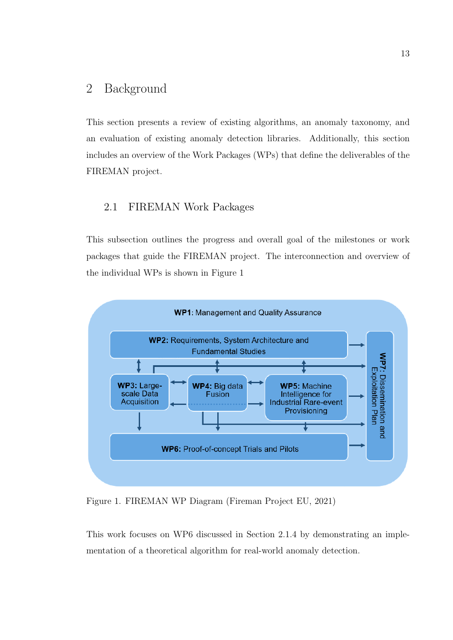# 2 Background

This section presents a review of existing algorithms, an anomaly taxonomy, and an evaluation of existing anomaly detection libraries. Additionally, this section includes an overview of the Work Packages (WPs) that define the deliverables of the FIREMAN project.

## 2.1 FIREMAN Work Packages

This subsection outlines the progress and overall goal of the milestones or work packages that guide the FIREMAN project. The interconnection and overview of the individual WPs is shown in Figure 1



Figure 1. FIREMAN WP Diagram (Fireman Project EU, 2021)

This work focuses on WP6 discussed in Section 2.1.4 by demonstrating an implementation of a theoretical algorithm for real-world anomaly detection.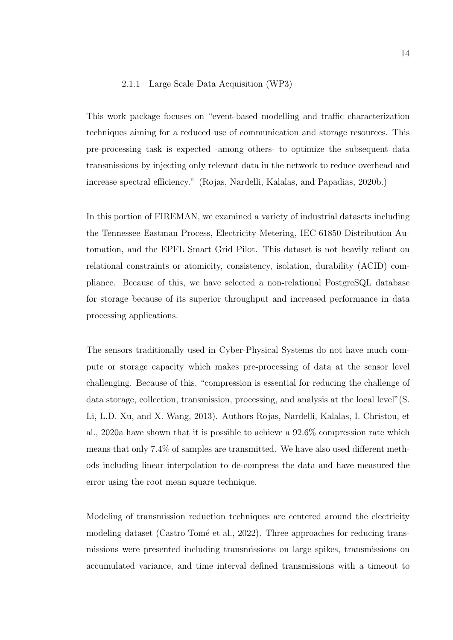#### 2.1.1 Large Scale Data Acquisition (WP3)

This work package focuses on "event-based modelling and traffic characterization techniques aiming for a reduced use of communication and storage resources. This pre-processing task is expected -among others- to optimize the subsequent data transmissions by injecting only relevant data in the network to reduce overhead and increase spectral efficiency." (Rojas, Nardelli, Kalalas, and Papadias, 2020b.)

In this portion of FIREMAN, we examined a variety of industrial datasets including the Tennessee Eastman Process, Electricity Metering, IEC-61850 Distribution Automation, and the EPFL Smart Grid Pilot. This dataset is not heavily reliant on relational constraints or atomicity, consistency, isolation, durability (ACID) compliance. Because of this, we have selected a non-relational PostgreSQL database for storage because of its superior throughput and increased performance in data processing applications.

The sensors traditionally used in Cyber-Physical Systems do not have much compute or storage capacity which makes pre-processing of data at the sensor level challenging. Because of this, "compression is essential for reducing the challenge of data storage, collection, transmission, processing, and analysis at the local level"(S. Li, L.D. Xu, and X. Wang, 2013). Authors Rojas, Nardelli, Kalalas, I. Christou, et al., 2020a have shown that it is possible to achieve a 92.6% compression rate which means that only 7.4% of samples are transmitted. We have also used different methods including linear interpolation to de-compress the data and have measured the error using the root mean square technique.

Modeling of transmission reduction techniques are centered around the electricity modeling dataset (Castro Tomé et al., 2022). Three approaches for reducing transmissions were presented including transmissions on large spikes, transmissions on accumulated variance, and time interval defined transmissions with a timeout to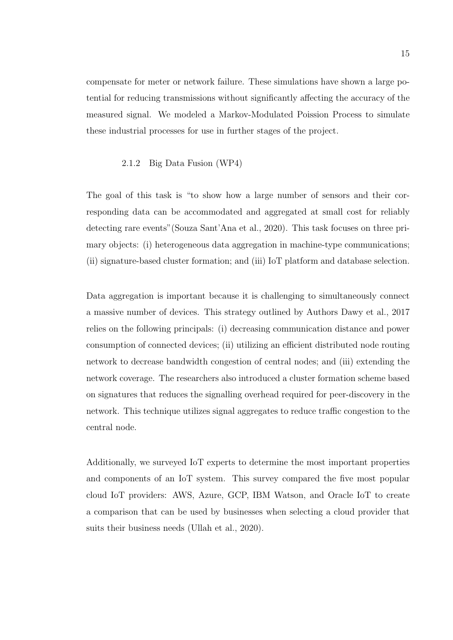compensate for meter or network failure. These simulations have shown a large potential for reducing transmissions without significantly affecting the accuracy of the measured signal. We modeled a Markov-Modulated Poission Process to simulate these industrial processes for use in further stages of the project.

#### 2.1.2 Big Data Fusion (WP4)

The goal of this task is "to show how a large number of sensors and their corresponding data can be accommodated and aggregated at small cost for reliably detecting rare events"(Souza Sant'Ana et al., 2020). This task focuses on three primary objects: (i) heterogeneous data aggregation in machine-type communications; (ii) signature-based cluster formation; and (iii) IoT platform and database selection.

Data aggregation is important because it is challenging to simultaneously connect a massive number of devices. This strategy outlined by Authors Dawy et al., 2017 relies on the following principals: (i) decreasing communication distance and power consumption of connected devices; (ii) utilizing an efficient distributed node routing network to decrease bandwidth congestion of central nodes; and (iii) extending the network coverage. The researchers also introduced a cluster formation scheme based on signatures that reduces the signalling overhead required for peer-discovery in the network. This technique utilizes signal aggregates to reduce traffic congestion to the central node.

Additionally, we surveyed IoT experts to determine the most important properties and components of an IoT system. This survey compared the five most popular cloud IoT providers: AWS, Azure, GCP, IBM Watson, and Oracle IoT to create a comparison that can be used by businesses when selecting a cloud provider that suits their business needs (Ullah et al., 2020).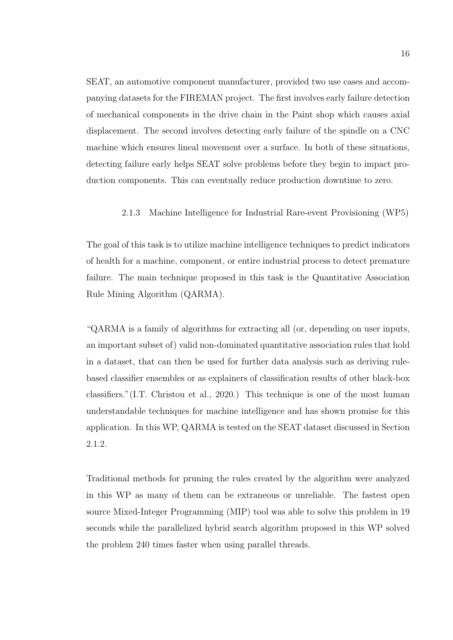SEAT, an automotive component manufacturer, provided two use cases and accompanying datasets for the FIREMAN project. The first involves early failure detection of mechanical components in the drive chain in the Paint shop which causes axial displacement. The second involves detecting early failure of the spindle on a CNC machine which ensures lineal movement over a surface. In both of these situations, detecting failure early helps SEAT solve problems before they begin to impact production components. This can eventually reduce production downtime to zero.

#### 2.1.3 Machine Intelligence for Industrial Rare-event Provisioning (WP5)

The goal of this task is to utilize machine intelligence techniques to predict indicators of health for a machine, component, or entire industrial process to detect premature failure. The main technique proposed in this task is the Quantitative Association Rule Mining Algorithm (QARMA).

"QARMA is a family of algorithms for extracting all (or, depending on user inputs, an important subset of) valid non-dominated quantitative association rules that hold in a dataset, that can then be used for further data analysis such as deriving rulebased classifier ensembles or as explainers of classification results of other black-box classifiers."(I.T. Christou et al., 2020.) This technique is one of the most human understandable techniques for machine intelligence and has shown promise for this application. In this WP, QARMA is tested on the SEAT dataset discussed in Section 2.1.2.

Traditional methods for pruning the rules created by the algorithm were analyzed in this WP as many of them can be extraneous or unreliable. The fastest open source Mixed-Integer Programming (MIP) tool was able to solve this problem in 19 seconds while the parallelized hybrid search algorithm proposed in this WP solved the problem 240 times faster when using parallel threads.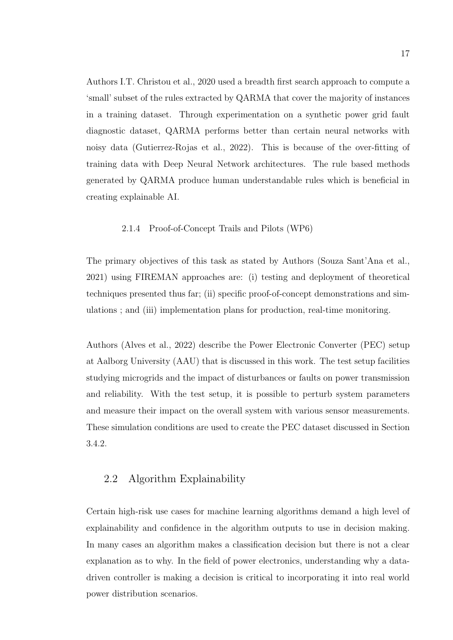Authors I.T. Christou et al., 2020 used a breadth first search approach to compute a 'small' subset of the rules extracted by QARMA that cover the majority of instances in a training dataset. Through experimentation on a synthetic power grid fault diagnostic dataset, QARMA performs better than certain neural networks with noisy data (Gutierrez-Rojas et al., 2022). This is because of the over-fitting of training data with Deep Neural Network architectures. The rule based methods generated by QARMA produce human understandable rules which is beneficial in creating explainable AI.

#### 2.1.4 Proof-of-Concept Trails and Pilots (WP6)

The primary objectives of this task as stated by Authors (Souza Sant'Ana et al., 2021) using FIREMAN approaches are: (i) testing and deployment of theoretical techniques presented thus far; (ii) specific proof-of-concept demonstrations and simulations ; and (iii) implementation plans for production, real-time monitoring.

Authors (Alves et al., 2022) describe the Power Electronic Converter (PEC) setup at Aalborg University (AAU) that is discussed in this work. The test setup facilities studying microgrids and the impact of disturbances or faults on power transmission and reliability. With the test setup, it is possible to perturb system parameters and measure their impact on the overall system with various sensor measurements. These simulation conditions are used to create the PEC dataset discussed in Section 3.4.2.

## 2.2 Algorithm Explainability

Certain high-risk use cases for machine learning algorithms demand a high level of explainability and confidence in the algorithm outputs to use in decision making. In many cases an algorithm makes a classification decision but there is not a clear explanation as to why. In the field of power electronics, understanding why a datadriven controller is making a decision is critical to incorporating it into real world power distribution scenarios.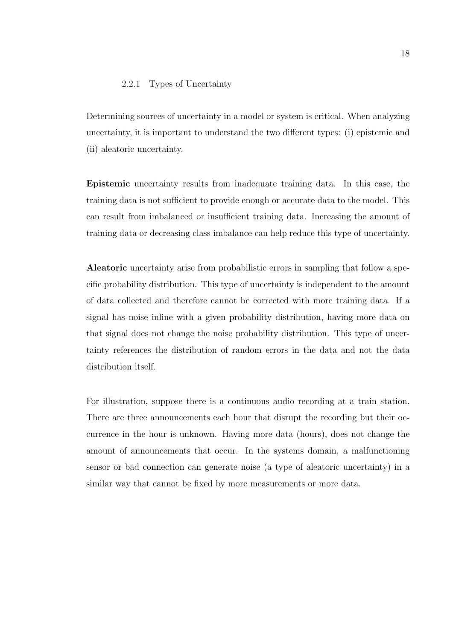#### 2.2.1 Types of Uncertainty

Determining sources of uncertainty in a model or system is critical. When analyzing uncertainty, it is important to understand the two different types: (i) epistemic and (ii) aleatoric uncertainty.

Epistemic uncertainty results from inadequate training data. In this case, the training data is not sufficient to provide enough or accurate data to the model. This can result from imbalanced or insufficient training data. Increasing the amount of training data or decreasing class imbalance can help reduce this type of uncertainty.

Aleatoric uncertainty arise from probabilistic errors in sampling that follow a specific probability distribution. This type of uncertainty is independent to the amount of data collected and therefore cannot be corrected with more training data. If a signal has noise inline with a given probability distribution, having more data on that signal does not change the noise probability distribution. This type of uncertainty references the distribution of random errors in the data and not the data distribution itself.

For illustration, suppose there is a continuous audio recording at a train station. There are three announcements each hour that disrupt the recording but their occurrence in the hour is unknown. Having more data (hours), does not change the amount of announcements that occur. In the systems domain, a malfunctioning sensor or bad connection can generate noise (a type of aleatoric uncertainty) in a similar way that cannot be fixed by more measurements or more data.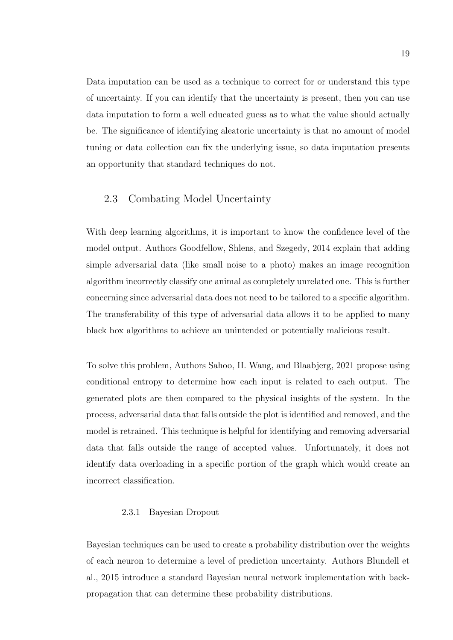Data imputation can be used as a technique to correct for or understand this type of uncertainty. If you can identify that the uncertainty is present, then you can use data imputation to form a well educated guess as to what the value should actually be. The significance of identifying aleatoric uncertainty is that no amount of model tuning or data collection can fix the underlying issue, so data imputation presents an opportunity that standard techniques do not.

## 2.3 Combating Model Uncertainty

With deep learning algorithms, it is important to know the confidence level of the model output. Authors Goodfellow, Shlens, and Szegedy, 2014 explain that adding simple adversarial data (like small noise to a photo) makes an image recognition algorithm incorrectly classify one animal as completely unrelated one. This is further concerning since adversarial data does not need to be tailored to a specific algorithm. The transferability of this type of adversarial data allows it to be applied to many black box algorithms to achieve an unintended or potentially malicious result.

To solve this problem, Authors Sahoo, H. Wang, and Blaabjerg, 2021 propose using conditional entropy to determine how each input is related to each output. The generated plots are then compared to the physical insights of the system. In the process, adversarial data that falls outside the plot is identified and removed, and the model is retrained. This technique is helpful for identifying and removing adversarial data that falls outside the range of accepted values. Unfortunately, it does not identify data overloading in a specific portion of the graph which would create an incorrect classification.

#### 2.3.1 Bayesian Dropout

Bayesian techniques can be used to create a probability distribution over the weights of each neuron to determine a level of prediction uncertainty. Authors Blundell et al., 2015 introduce a standard Bayesian neural network implementation with backpropagation that can determine these probability distributions.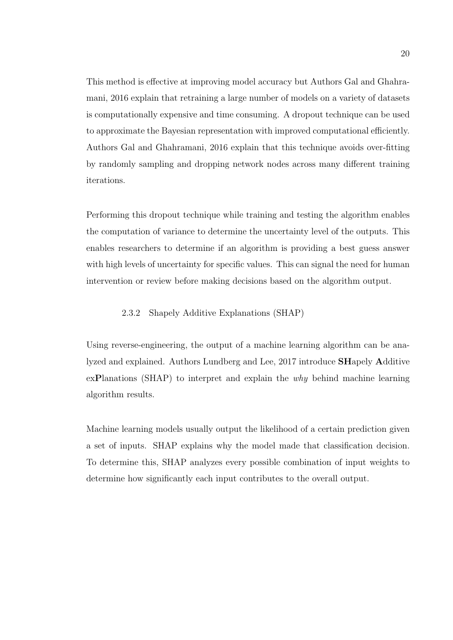This method is effective at improving model accuracy but Authors Gal and Ghahramani, 2016 explain that retraining a large number of models on a variety of datasets is computationally expensive and time consuming. A dropout technique can be used to approximate the Bayesian representation with improved computational efficiently. Authors Gal and Ghahramani, 2016 explain that this technique avoids over-fitting by randomly sampling and dropping network nodes across many different training iterations.

Performing this dropout technique while training and testing the algorithm enables the computation of variance to determine the uncertainty level of the outputs. This enables researchers to determine if an algorithm is providing a best guess answer with high levels of uncertainty for specific values. This can signal the need for human intervention or review before making decisions based on the algorithm output.

### 2.3.2 Shapely Additive Explanations (SHAP)

Using reverse-engineering, the output of a machine learning algorithm can be analyzed and explained. Authors Lundberg and Lee, 2017 introduce SHapely Additive exPlanations (SHAP) to interpret and explain the why behind machine learning algorithm results.

Machine learning models usually output the likelihood of a certain prediction given a set of inputs. SHAP explains why the model made that classification decision. To determine this, SHAP analyzes every possible combination of input weights to determine how significantly each input contributes to the overall output.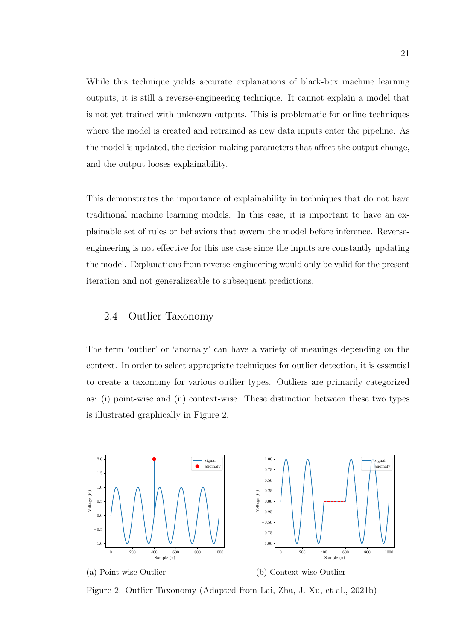While this technique yields accurate explanations of black-box machine learning outputs, it is still a reverse-engineering technique. It cannot explain a model that is not yet trained with unknown outputs. This is problematic for online techniques where the model is created and retrained as new data inputs enter the pipeline. As the model is updated, the decision making parameters that affect the output change, and the output looses explainability.

This demonstrates the importance of explainability in techniques that do not have traditional machine learning models. In this case, it is important to have an explainable set of rules or behaviors that govern the model before inference. Reverseengineering is not effective for this use case since the inputs are constantly updating the model. Explanations from reverse-engineering would only be valid for the present iteration and not generalizeable to subsequent predictions.

## 2.4 Outlier Taxonomy

The term 'outlier' or 'anomaly' can have a variety of meanings depending on the context. In order to select appropriate techniques for outlier detection, it is essential to create a taxonomy for various outlier types. Outliers are primarily categorized as: (i) point-wise and (ii) context-wise. These distinction between these two types is illustrated graphically in Figure 2.



Figure 2. Outlier Taxonomy (Adapted from Lai, Zha, J. Xu, et al., 2021b)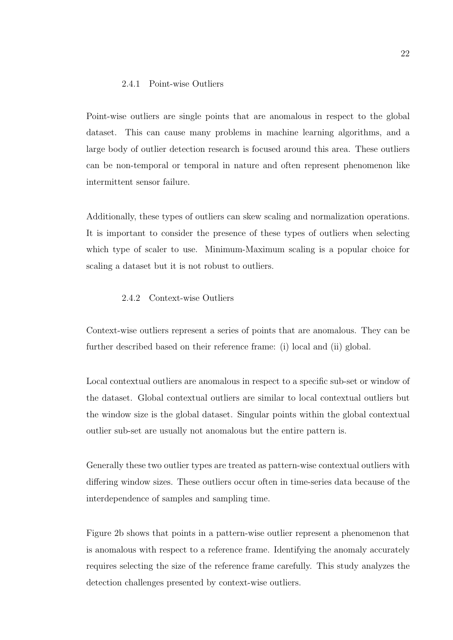#### 2.4.1 Point-wise Outliers

Point-wise outliers are single points that are anomalous in respect to the global dataset. This can cause many problems in machine learning algorithms, and a large body of outlier detection research is focused around this area. These outliers can be non-temporal or temporal in nature and often represent phenomenon like intermittent sensor failure.

Additionally, these types of outliers can skew scaling and normalization operations. It is important to consider the presence of these types of outliers when selecting which type of scaler to use. Minimum-Maximum scaling is a popular choice for scaling a dataset but it is not robust to outliers.

#### 2.4.2 Context-wise Outliers

Context-wise outliers represent a series of points that are anomalous. They can be further described based on their reference frame: (i) local and (ii) global.

Local contextual outliers are anomalous in respect to a specific sub-set or window of the dataset. Global contextual outliers are similar to local contextual outliers but the window size is the global dataset. Singular points within the global contextual outlier sub-set are usually not anomalous but the entire pattern is.

Generally these two outlier types are treated as pattern-wise contextual outliers with differing window sizes. These outliers occur often in time-series data because of the interdependence of samples and sampling time.

Figure 2b shows that points in a pattern-wise outlier represent a phenomenon that is anomalous with respect to a reference frame. Identifying the anomaly accurately requires selecting the size of the reference frame carefully. This study analyzes the detection challenges presented by context-wise outliers.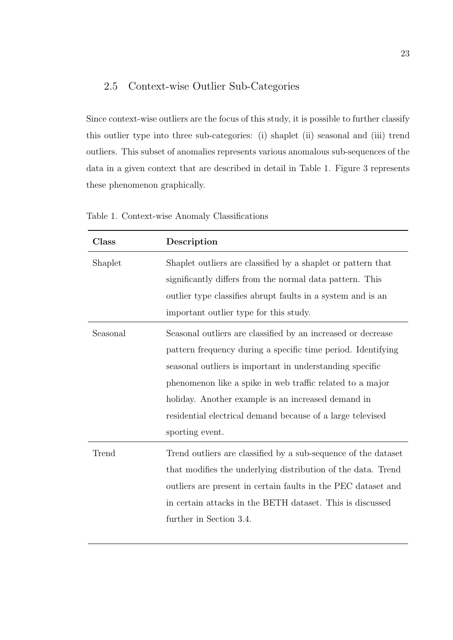# 2.5 Context-wise Outlier Sub-Categories

Since context-wise outliers are the focus of this study, it is possible to further classify this outlier type into three sub-categories: (i) shaplet (ii) seasonal and (iii) trend outliers. This subset of anomalies represents various anomalous sub-sequences of the data in a given context that are described in detail in Table 1. Figure 3 represents these phenomenon graphically.

| Class                                                                                                                                                                                                                                        | Description                                                                                                                                                                                                                                                                                                                                                                                  |  |
|----------------------------------------------------------------------------------------------------------------------------------------------------------------------------------------------------------------------------------------------|----------------------------------------------------------------------------------------------------------------------------------------------------------------------------------------------------------------------------------------------------------------------------------------------------------------------------------------------------------------------------------------------|--|
| Shaplet outliers are classified by a shaplet or pattern that<br>Shaplet<br>significantly differs from the normal data pattern. This<br>outlier type classifies abrupt faults in a system and is an<br>important outlier type for this study. |                                                                                                                                                                                                                                                                                                                                                                                              |  |
| Seasonal                                                                                                                                                                                                                                     | Seasonal outliers are classified by an increased or decrease<br>pattern frequency during a specific time period. Identifying<br>seasonal outliers is important in understanding specific<br>phenomenon like a spike in web traffic related to a major<br>holiday. Another example is an increased demand in<br>residential electrical demand because of a large televised<br>sporting event. |  |
| Trend                                                                                                                                                                                                                                        | Trend outliers are classified by a sub-sequence of the dataset<br>that modifies the underlying distribution of the data. Trend<br>outliers are present in certain faults in the PEC dataset and<br>in certain attacks in the BETH dataset. This is discussed<br>further in Section 3.4.                                                                                                      |  |

Table 1. Context-wise Anomaly Classifications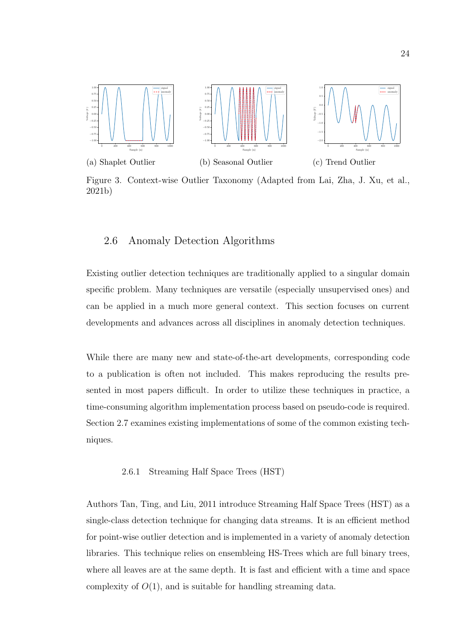

Figure 3. Context-wise Outlier Taxonomy (Adapted from Lai, Zha, J. Xu, et al., 2021b)

## 2.6 Anomaly Detection Algorithms

Existing outlier detection techniques are traditionally applied to a singular domain specific problem. Many techniques are versatile (especially unsupervised ones) and can be applied in a much more general context. This section focuses on current developments and advances across all disciplines in anomaly detection techniques.

While there are many new and state-of-the-art developments, corresponding code to a publication is often not included. This makes reproducing the results presented in most papers difficult. In order to utilize these techniques in practice, a time-consuming algorithm implementation process based on pseudo-code is required. Section 2.7 examines existing implementations of some of the common existing techniques.

#### 2.6.1 Streaming Half Space Trees (HST)

Authors Tan, Ting, and Liu, 2011 introduce Streaming Half Space Trees (HST) as a single-class detection technique for changing data streams. It is an efficient method for point-wise outlier detection and is implemented in a variety of anomaly detection libraries. This technique relies on ensembleing HS-Trees which are full binary trees, where all leaves are at the same depth. It is fast and efficient with a time and space complexity of  $O(1)$ , and is suitable for handling streaming data.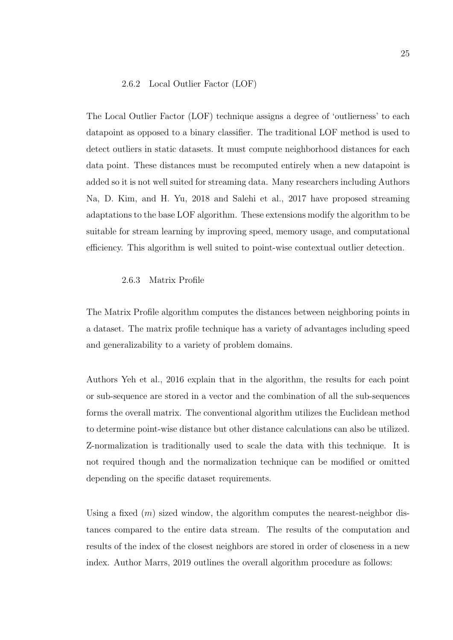#### 2.6.2 Local Outlier Factor (LOF)

The Local Outlier Factor (LOF) technique assigns a degree of 'outlierness' to each datapoint as opposed to a binary classifier. The traditional LOF method is used to detect outliers in static datasets. It must compute neighborhood distances for each data point. These distances must be recomputed entirely when a new datapoint is added so it is not well suited for streaming data. Many researchers including Authors Na, D. Kim, and H. Yu, 2018 and Salehi et al., 2017 have proposed streaming adaptations to the base LOF algorithm. These extensions modify the algorithm to be suitable for stream learning by improving speed, memory usage, and computational efficiency. This algorithm is well suited to point-wise contextual outlier detection.

#### 2.6.3 Matrix Profile

The Matrix Profile algorithm computes the distances between neighboring points in a dataset. The matrix profile technique has a variety of advantages including speed and generalizability to a variety of problem domains.

Authors Yeh et al., 2016 explain that in the algorithm, the results for each point or sub-sequence are stored in a vector and the combination of all the sub-sequences forms the overall matrix. The conventional algorithm utilizes the Euclidean method to determine point-wise distance but other distance calculations can also be utilized. Z-normalization is traditionally used to scale the data with this technique. It is not required though and the normalization technique can be modified or omitted depending on the specific dataset requirements.

Using a fixed  $(m)$  sized window, the algorithm computes the nearest-neighbor distances compared to the entire data stream. The results of the computation and results of the index of the closest neighbors are stored in order of closeness in a new index. Author Marrs, 2019 outlines the overall algorithm procedure as follows: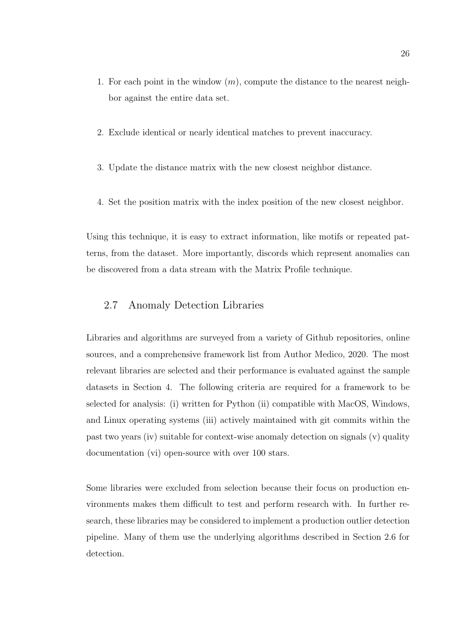- 1. For each point in the window  $(m)$ , compute the distance to the nearest neighbor against the entire data set.
- 2. Exclude identical or nearly identical matches to prevent inaccuracy.
- 3. Update the distance matrix with the new closest neighbor distance.
- 4. Set the position matrix with the index position of the new closest neighbor.

Using this technique, it is easy to extract information, like motifs or repeated patterns, from the dataset. More importantly, discords which represent anomalies can be discovered from a data stream with the Matrix Profile technique.

## 2.7 Anomaly Detection Libraries

Libraries and algorithms are surveyed from a variety of Github repositories, online sources, and a comprehensive framework list from Author Medico, 2020. The most relevant libraries are selected and their performance is evaluated against the sample datasets in Section 4. The following criteria are required for a framework to be selected for analysis: (i) written for Python (ii) compatible with MacOS, Windows, and Linux operating systems (iii) actively maintained with git commits within the past two years (iv) suitable for context-wise anomaly detection on signals (v) quality documentation (vi) open-source with over 100 stars.

Some libraries were excluded from selection because their focus on production environments makes them difficult to test and perform research with. In further research, these libraries may be considered to implement a production outlier detection pipeline. Many of them use the underlying algorithms described in Section 2.6 for detection.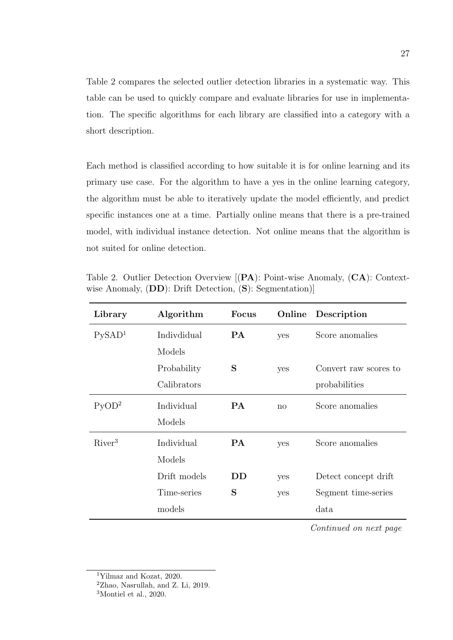Table 2 compares the selected outlier detection libraries in a systematic way. This table can be used to quickly compare and evaluate libraries for use in implementation. The specific algorithms for each library are classified into a category with a short description.

Each method is classified according to how suitable it is for online learning and its primary use case. For the algorithm to have a yes in the online learning category, the algorithm must be able to iteratively update the model efficiently, and predict specific instances one at a time. Partially online means that there is a pre-trained model, with individual instance detection. Not online means that the algorithm is not suited for online detection.

Table 2. Outlier Detection Overview [(PA): Point-wise Anomaly, (CA): Contextwise Anomaly, (DD): Drift Detection, (S): Segmentation)]

| Library            | Algorithm    | <b>Focus</b> | Online | Description           |
|--------------------|--------------|--------------|--------|-----------------------|
| PySAD <sup>1</sup> | Indivdidual  | <b>PA</b>    | yes    | Score anomalies       |
|                    | Models       |              |        |                       |
|                    | Probability  | S            | yes    | Convert raw scores to |
|                    | Calibrators  |              |        | probabilities         |
| PyOD <sup>2</sup>  | Individual   | <b>PA</b>    | no     | Score anomalies       |
|                    | Models       |              |        |                       |
| River <sup>3</sup> | Individual   | <b>PA</b>    | yes    | Score anomalies       |
|                    | Models       |              |        |                       |
|                    | Drift models | DD           | yes    | Detect concept drift  |
|                    | Time-series  | S            | yes    | Segment time-series   |
|                    | models       |              |        | data                  |

Continued on next page

<sup>1</sup>Yilmaz and Kozat, 2020.

<sup>2</sup>Zhao, Nasrullah, and Z. Li, 2019.

<sup>3</sup>Montiel et al., 2020.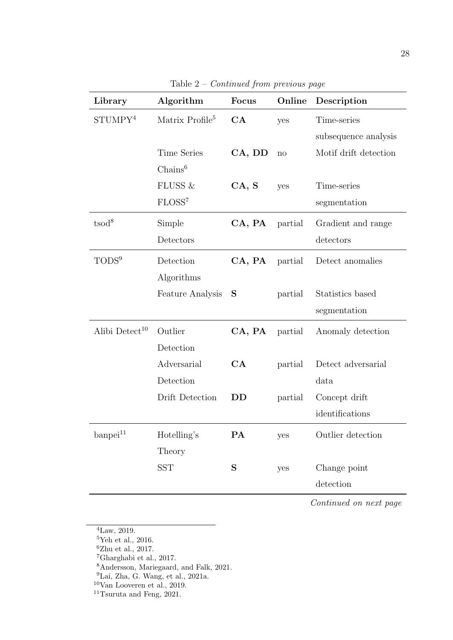| Library                    | Algorithm                   | <b>Focus</b> | Online  | Description           |
|----------------------------|-----------------------------|--------------|---------|-----------------------|
| STUMPY <sup>4</sup>        | Matrix Profile <sup>5</sup> | CA           | yes     | Time-series           |
|                            |                             |              |         | subsequence analysis  |
|                            | <b>Time Series</b>          | CA, DD       | no      | Motif drift detection |
|                            | $Chains^6$                  |              |         |                       |
|                            | FLUSS &                     | CA, S        | yes     | Time-series           |
|                            | FLOSS <sup>7</sup>          |              |         | segmentation          |
| tsod <sup>8</sup>          | Simple                      | CA, PA       | partial | Gradient and range    |
|                            | Detectors                   |              |         | detectors             |
| TODS <sup>9</sup>          | Detection                   | CA, PA       | partial | Detect anomalies      |
|                            | Algorithms                  |              |         |                       |
|                            | <b>Feature Analysis</b>     | S            | partial | Statistics based      |
|                            |                             |              |         | segmentation          |
| Alibi Detect <sup>10</sup> | Outlier                     | CA, PA       | partial | Anomaly detection     |
|                            | Detection                   |              |         |                       |
|                            | Adversarial                 | CA           | partial | Detect adversarial    |
|                            | Detection                   |              |         | data                  |
|                            | Drift Detection             | DD           | partial | Concept drift         |
|                            |                             |              |         | identifications       |
| $\mbox{bampei}^{11}$       | Hotelling's                 | PA           | yes     | Outlier detection     |
|                            | Theory                      |              |         |                       |
|                            | <b>SST</b>                  | S            | yes     | Change point          |
|                            |                             |              |         | detection             |

Table 2 – Continued from previous page

Continued on next page

- <sup>5</sup>Yeh et al., 2016.
- ${}^{6}$ Zhu et al., 2017.
- <sup>7</sup>Gharghabi et al., 2017.
- <sup>8</sup>Andersson, Mariegaard, and Falk, 2021.
- ${}^{9}$ Lai, Zha, G. Wang, et al., 2021a.
- <sup>10</sup>Van Looveren et al., 2019.
- <sup>11</sup>Tsuruta and Feng,  $2021$ .

 $4$ Law, 2019.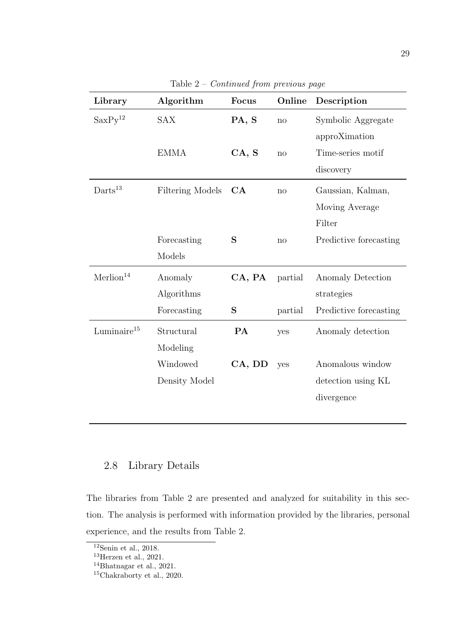| Library               | Algorithm               | Focus  | Online  | Description            |
|-----------------------|-------------------------|--------|---------|------------------------|
| SaxPy <sup>12</sup>   | <b>SAX</b>              | PA, S  | no      | Symbolic Aggregate     |
|                       |                         |        |         | approXimation          |
|                       | <b>EMMA</b>             | CA, S  | no      | Time-series motif      |
|                       |                         |        |         | discovery              |
| $Darts^{13}$          | <b>Filtering Models</b> | CA     | no      | Gaussian, Kalman,      |
|                       |                         |        |         | Moving Average         |
|                       |                         |        |         | Filter                 |
|                       | Forecasting             | S      | no      | Predictive forecasting |
|                       | Models                  |        |         |                        |
| Merlion <sup>14</sup> | Anomaly                 | CA, PA | partial | Anomaly Detection      |
|                       | Algorithms              |        |         | strategies             |
|                       | Forecasting             | S      | partial | Predictive forecasting |
| Luminaire $15$        | Structural              | PA     | yes     | Anomaly detection      |
|                       | Modeling                |        |         |                        |
|                       | Windowed                | CA, DD | yes     | Anomalous window       |
|                       | Density Model           |        |         | detection using KL     |
|                       |                         |        |         | divergence             |
|                       |                         |        |         |                        |

Table 2 – Continued from previous page

# 2.8 Library Details

The libraries from Table 2 are presented and analyzed for suitability in this section. The analysis is performed with information provided by the libraries, personal experience, and the results from Table 2.

 $12$ Senin et al., 2018.

 $^{13}$ Herzen et al., 2021.

<sup>14</sup>Bhatnagar et al., 2021.

<sup>15</sup>Chakraborty et al., 2020.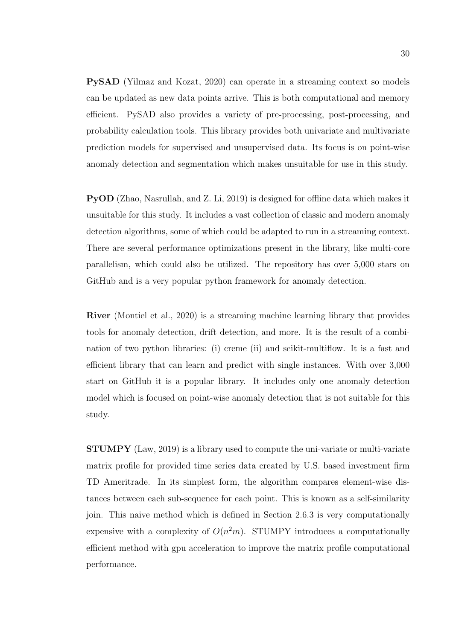PySAD (Yilmaz and Kozat, 2020) can operate in a streaming context so models can be updated as new data points arrive. This is both computational and memory efficient. PySAD also provides a variety of pre-processing, post-processing, and probability calculation tools. This library provides both univariate and multivariate prediction models for supervised and unsupervised data. Its focus is on point-wise anomaly detection and segmentation which makes unsuitable for use in this study.

PyOD (Zhao, Nasrullah, and Z. Li, 2019) is designed for offline data which makes it unsuitable for this study. It includes a vast collection of classic and modern anomaly detection algorithms, some of which could be adapted to run in a streaming context. There are several performance optimizations present in the library, like multi-core parallelism, which could also be utilized. The repository has over 5,000 stars on GitHub and is a very popular python framework for anomaly detection.

River (Montiel et al., 2020) is a streaming machine learning library that provides tools for anomaly detection, drift detection, and more. It is the result of a combination of two python libraries: (i) creme (ii) and scikit-multiflow. It is a fast and efficient library that can learn and predict with single instances. With over 3,000 start on GitHub it is a popular library. It includes only one anomaly detection model which is focused on point-wise anomaly detection that is not suitable for this study.

STUMPY (Law, 2019) is a library used to compute the uni-variate or multi-variate matrix profile for provided time series data created by U.S. based investment firm TD Ameritrade. In its simplest form, the algorithm compares element-wise distances between each sub-sequence for each point. This is known as a self-similarity join. This naive method which is defined in Section 2.6.3 is very computationally expensive with a complexity of  $O(n^2m)$ . STUMPY introduces a computationally efficient method with gpu acceleration to improve the matrix profile computational performance.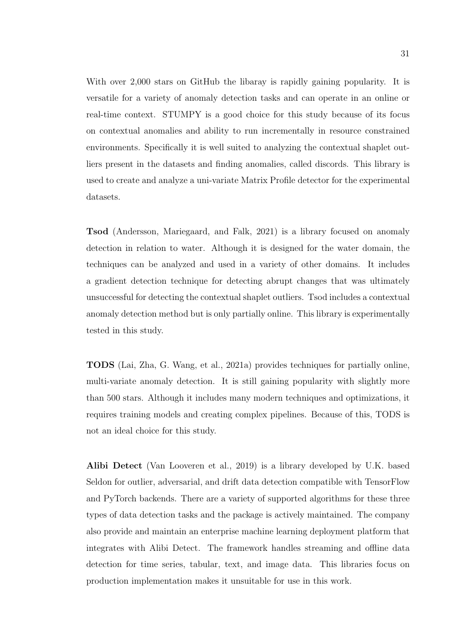With over 2,000 stars on GitHub the libaray is rapidly gaining popularity. It is versatile for a variety of anomaly detection tasks and can operate in an online or real-time context. STUMPY is a good choice for this study because of its focus on contextual anomalies and ability to run incrementally in resource constrained environments. Specifically it is well suited to analyzing the contextual shaplet outliers present in the datasets and finding anomalies, called discords. This library is used to create and analyze a uni-variate Matrix Profile detector for the experimental datasets.

Tsod (Andersson, Mariegaard, and Falk, 2021) is a library focused on anomaly detection in relation to water. Although it is designed for the water domain, the techniques can be analyzed and used in a variety of other domains. It includes a gradient detection technique for detecting abrupt changes that was ultimately unsuccessful for detecting the contextual shaplet outliers. Tsod includes a contextual anomaly detection method but is only partially online. This library is experimentally tested in this study.

TODS (Lai, Zha, G. Wang, et al., 2021a) provides techniques for partially online, multi-variate anomaly detection. It is still gaining popularity with slightly more than 500 stars. Although it includes many modern techniques and optimizations, it requires training models and creating complex pipelines. Because of this, TODS is not an ideal choice for this study.

Alibi Detect (Van Looveren et al., 2019) is a library developed by U.K. based Seldon for outlier, adversarial, and drift data detection compatible with TensorFlow and PyTorch backends. There are a variety of supported algorithms for these three types of data detection tasks and the package is actively maintained. The company also provide and maintain an enterprise machine learning deployment platform that integrates with Alibi Detect. The framework handles streaming and offline data detection for time series, tabular, text, and image data. This libraries focus on production implementation makes it unsuitable for use in this work.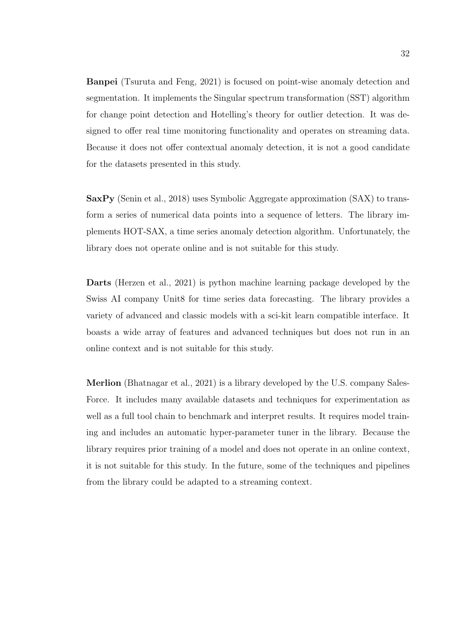Banpei (Tsuruta and Feng, 2021) is focused on point-wise anomaly detection and segmentation. It implements the Singular spectrum transformation (SST) algorithm for change point detection and Hotelling's theory for outlier detection. It was designed to offer real time monitoring functionality and operates on streaming data. Because it does not offer contextual anomaly detection, it is not a good candidate for the datasets presented in this study.

SaxPy (Senin et al., 2018) uses Symbolic Aggregate approximation (SAX) to transform a series of numerical data points into a sequence of letters. The library implements HOT-SAX, a time series anomaly detection algorithm. Unfortunately, the library does not operate online and is not suitable for this study.

Darts (Herzen et al., 2021) is python machine learning package developed by the Swiss AI company Unit8 for time series data forecasting. The library provides a variety of advanced and classic models with a sci-kit learn compatible interface. It boasts a wide array of features and advanced techniques but does not run in an online context and is not suitable for this study.

Merlion (Bhatnagar et al., 2021) is a library developed by the U.S. company Sales-Force. It includes many available datasets and techniques for experimentation as well as a full tool chain to benchmark and interpret results. It requires model training and includes an automatic hyper-parameter tuner in the library. Because the library requires prior training of a model and does not operate in an online context, it is not suitable for this study. In the future, some of the techniques and pipelines from the library could be adapted to a streaming context.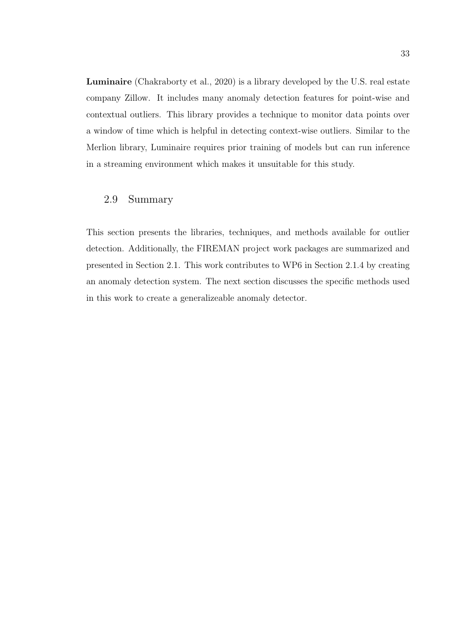Luminaire (Chakraborty et al., 2020) is a library developed by the U.S. real estate company Zillow. It includes many anomaly detection features for point-wise and contextual outliers. This library provides a technique to monitor data points over a window of time which is helpful in detecting context-wise outliers. Similar to the Merlion library, Luminaire requires prior training of models but can run inference in a streaming environment which makes it unsuitable for this study.

## 2.9 Summary

This section presents the libraries, techniques, and methods available for outlier detection. Additionally, the FIREMAN project work packages are summarized and presented in Section 2.1. This work contributes to WP6 in Section 2.1.4 by creating an anomaly detection system. The next section discusses the specific methods used in this work to create a generalizeable anomaly detector.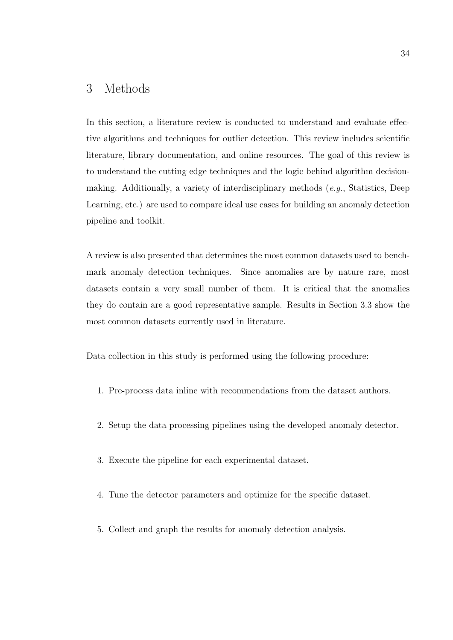# 3 Methods

In this section, a literature review is conducted to understand and evaluate effective algorithms and techniques for outlier detection. This review includes scientific literature, library documentation, and online resources. The goal of this review is to understand the cutting edge techniques and the logic behind algorithm decisionmaking. Additionally, a variety of interdisciplinary methods (e.g., Statistics, Deep Learning, etc.) are used to compare ideal use cases for building an anomaly detection pipeline and toolkit.

A review is also presented that determines the most common datasets used to benchmark anomaly detection techniques. Since anomalies are by nature rare, most datasets contain a very small number of them. It is critical that the anomalies they do contain are a good representative sample. Results in Section 3.3 show the most common datasets currently used in literature.

Data collection in this study is performed using the following procedure:

- 1. Pre-process data inline with recommendations from the dataset authors.
- 2. Setup the data processing pipelines using the developed anomaly detector.
- 3. Execute the pipeline for each experimental dataset.
- 4. Tune the detector parameters and optimize for the specific dataset.
- 5. Collect and graph the results for anomaly detection analysis.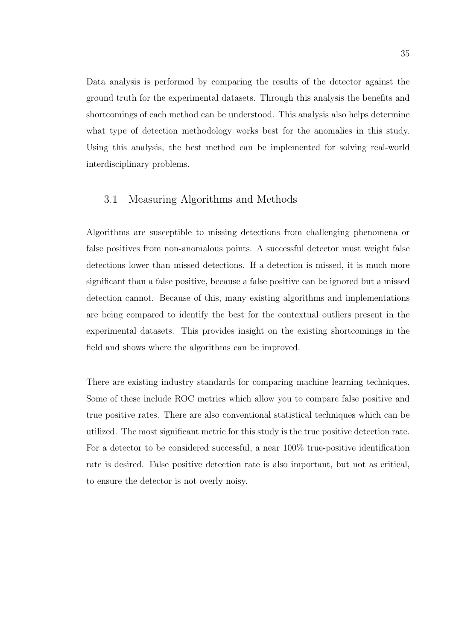Data analysis is performed by comparing the results of the detector against the ground truth for the experimental datasets. Through this analysis the benefits and shortcomings of each method can be understood. This analysis also helps determine what type of detection methodology works best for the anomalies in this study. Using this analysis, the best method can be implemented for solving real-world interdisciplinary problems.

## 3.1 Measuring Algorithms and Methods

Algorithms are susceptible to missing detections from challenging phenomena or false positives from non-anomalous points. A successful detector must weight false detections lower than missed detections. If a detection is missed, it is much more significant than a false positive, because a false positive can be ignored but a missed detection cannot. Because of this, many existing algorithms and implementations are being compared to identify the best for the contextual outliers present in the experimental datasets. This provides insight on the existing shortcomings in the field and shows where the algorithms can be improved.

There are existing industry standards for comparing machine learning techniques. Some of these include ROC metrics which allow you to compare false positive and true positive rates. There are also conventional statistical techniques which can be utilized. The most significant metric for this study is the true positive detection rate. For a detector to be considered successful, a near 100% true-positive identification rate is desired. False positive detection rate is also important, but not as critical, to ensure the detector is not overly noisy.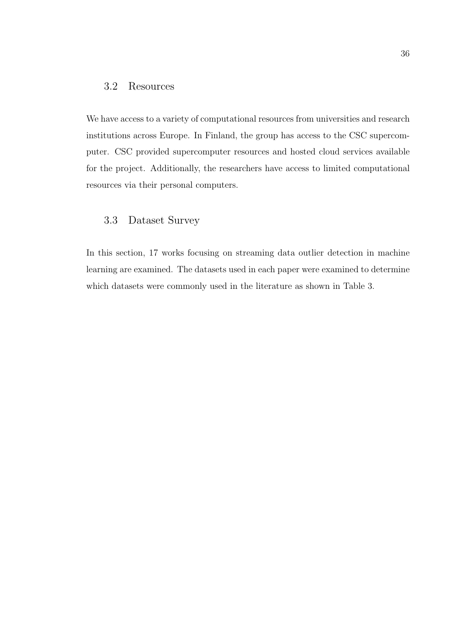### 3.2 Resources

We have access to a variety of computational resources from universities and research institutions across Europe. In Finland, the group has access to the CSC supercomputer. CSC provided supercomputer resources and hosted cloud services available for the project. Additionally, the researchers have access to limited computational resources via their personal computers.

## 3.3 Dataset Survey

In this section, 17 works focusing on streaming data outlier detection in machine learning are examined. The datasets used in each paper were examined to determine which datasets were commonly used in the literature as shown in Table 3.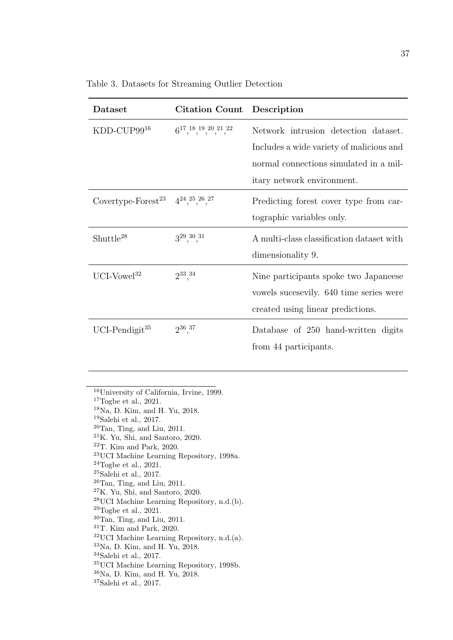| Dataset                                                   | <b>Citation Count</b> Description      |                                           |
|-----------------------------------------------------------|----------------------------------------|-------------------------------------------|
| $KDD$ -CUP $99^{16}$                                      | $6^{17},^{18},^{19},^{20},^{21},^{22}$ | Network intrusion detection dataset.      |
|                                                           |                                        | Includes a wide variety of malicious and  |
|                                                           |                                        | normal connections simulated in a mil-    |
|                                                           |                                        | itary network environment.                |
| Covertype-Forest <sup>23</sup> $4^{24},^{25},^{26},^{27}$ |                                        | Predicting forest cover type from car-    |
|                                                           |                                        | tographic variables only.                 |
| $Shutte^{28}$                                             | $3^{29}, \frac{30}{1}, \frac{31}{1}$   | A multi-class classification dataset with |
|                                                           |                                        | dimensionality 9.                         |
| UCI-Vowel <sup>32</sup>                                   | $2^{33},^{34}$                         | Nine participants spoke two Japaneese     |
|                                                           |                                        | vowels successily. 640 time series were   |
|                                                           |                                        | created using linear predictions.         |
| UCI-Pendigit <sup>35</sup>                                | $2^{36},^{37}$                         | Database of 250 hand-written digits       |
|                                                           |                                        | from 44 participants.                     |

<sup>16</sup>University of California, Irvine, 1999.

 $17$ Togbe et al., 2021.

<sup>18</sup>Na, D. Kim, and H. Yu, 2018.

<sup>19</sup>Salehi et al., 2017.

 $20$ Tan, Ting, and Liu, 2011.

<sup>21</sup>K. Yu, Shi, and Santoro, 2020.

 $22$ T. Kim and Park, 2020.

<sup>23</sup>UCI Machine Learning Repository, 1998a.

 $24$ Togbe et al., 2021.

 $25$ Salehi et al., 2017.

 $26$ Tan, Ting, and Liu, 2011.

 $27K$ . Yu, Shi, and Santoro, 2020.

<sup>28</sup>UCI Machine Learning Repository, n.d.(b).

 $^{29}{\rm Togbe}$  et al., 2021.

 $30$ Tan, Ting, and Liu, 2011.

<sup>31</sup>T. Kim and Park, 2020.

 $32$ UCI Machine Learning Repository, n.d. $(a)$ .

<sup>33</sup>Na, D. Kim, and H. Yu, 2018.

 $34$ Salehi et al., 2017.

<sup>35</sup>UCI Machine Learning Repository, 1998b.

<sup>36</sup>Na, D. Kim, and H. Yu, 2018.

 $^{37}\rm{Salehi}$  et al., 2017.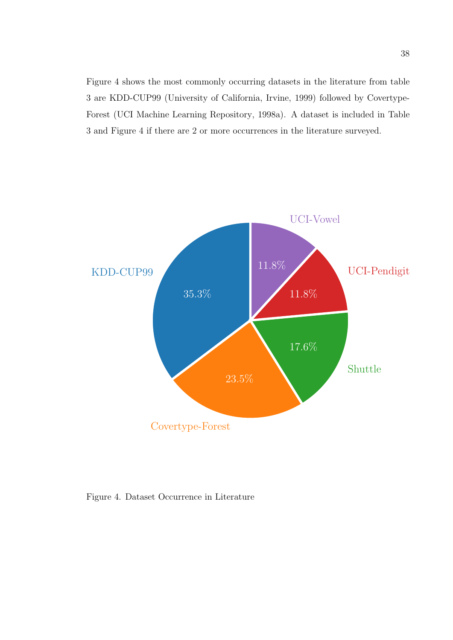Figure 4 shows the most commonly occurring datasets in the literature from table 3 are KDD-CUP99 (University of California, Irvine, 1999) followed by Covertype-Forest (UCI Machine Learning Repository, 1998a). A dataset is included in Table 3 and Figure 4 if there are 2 or more occurrences in the literature surveyed.



Figure 4. Dataset Occurrence in Literature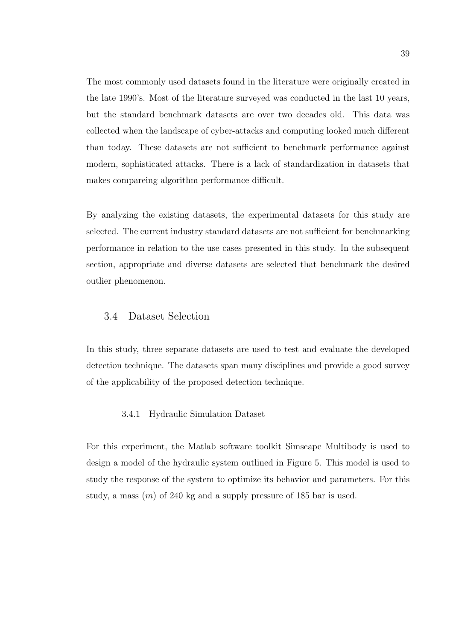The most commonly used datasets found in the literature were originally created in the late 1990's. Most of the literature surveyed was conducted in the last 10 years, but the standard benchmark datasets are over two decades old. This data was collected when the landscape of cyber-attacks and computing looked much different than today. These datasets are not sufficient to benchmark performance against modern, sophisticated attacks. There is a lack of standardization in datasets that makes compareing algorithm performance difficult.

By analyzing the existing datasets, the experimental datasets for this study are selected. The current industry standard datasets are not sufficient for benchmarking performance in relation to the use cases presented in this study. In the subsequent section, appropriate and diverse datasets are selected that benchmark the desired outlier phenomenon.

### 3.4 Dataset Selection

In this study, three separate datasets are used to test and evaluate the developed detection technique. The datasets span many disciplines and provide a good survey of the applicability of the proposed detection technique.

### 3.4.1 Hydraulic Simulation Dataset

For this experiment, the Matlab software toolkit Simscape Multibody is used to design a model of the hydraulic system outlined in Figure 5. This model is used to study the response of the system to optimize its behavior and parameters. For this study, a mass  $(m)$  of 240 kg and a supply pressure of 185 bar is used.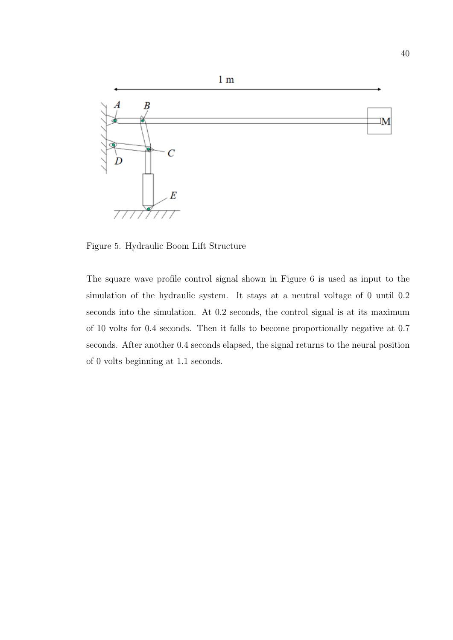

Figure 5. Hydraulic Boom Lift Structure

The square wave profile control signal shown in Figure 6 is used as input to the simulation of the hydraulic system. It stays at a neutral voltage of 0 until 0.2 seconds into the simulation. At 0.2 seconds, the control signal is at its maximum of 10 volts for 0.4 seconds. Then it falls to become proportionally negative at 0.7 seconds. After another 0.4 seconds elapsed, the signal returns to the neural position of 0 volts beginning at 1.1 seconds.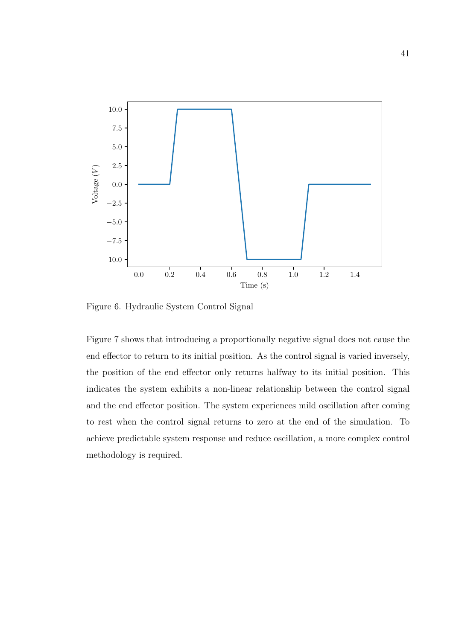

Figure 6. Hydraulic System Control Signal

Figure 7 shows that introducing a proportionally negative signal does not cause the end effector to return to its initial position. As the control signal is varied inversely, the position of the end effector only returns halfway to its initial position. This indicates the system exhibits a non-linear relationship between the control signal and the end effector position. The system experiences mild oscillation after coming to rest when the control signal returns to zero at the end of the simulation. To achieve predictable system response and reduce oscillation, a more complex control methodology is required.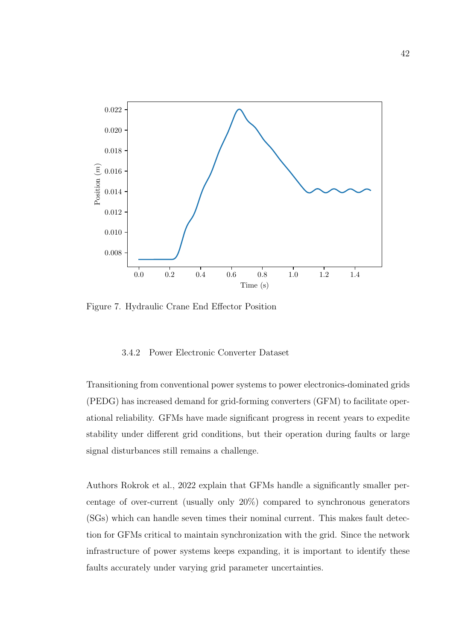

Figure 7. Hydraulic Crane End Effector Position

#### 3.4.2 Power Electronic Converter Dataset

Transitioning from conventional power systems to power electronics-dominated grids (PEDG) has increased demand for grid-forming converters (GFM) to facilitate operational reliability. GFMs have made significant progress in recent years to expedite stability under different grid conditions, but their operation during faults or large signal disturbances still remains a challenge.

Authors Rokrok et al., 2022 explain that GFMs handle a significantly smaller percentage of over-current (usually only 20%) compared to synchronous generators (SGs) which can handle seven times their nominal current. This makes fault detection for GFMs critical to maintain synchronization with the grid. Since the network infrastructure of power systems keeps expanding, it is important to identify these faults accurately under varying grid parameter uncertainties.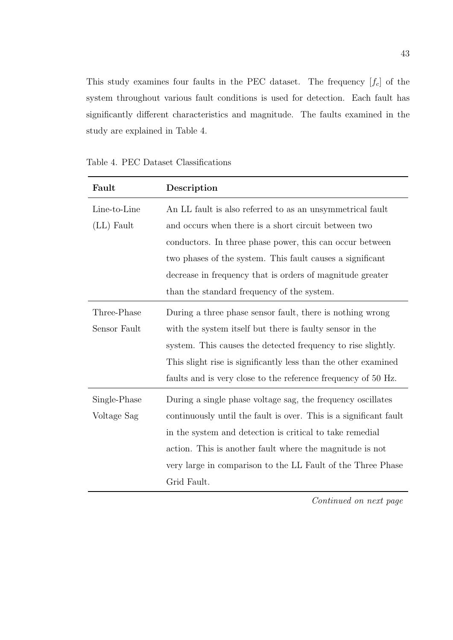This study examines four faults in the PEC dataset. The frequency  $[f_c]$  of the system throughout various fault conditions is used for detection. Each fault has significantly different characteristics and magnitude. The faults examined in the study are explained in Table 4.

| Fault        | Description                                                       |  |  |
|--------------|-------------------------------------------------------------------|--|--|
| Line-to-Line | An LL fault is also referred to as an unsymmetrical fault         |  |  |
| $(LL)$ Fault | and occurs when there is a short circuit between two              |  |  |
|              | conductors. In three phase power, this can occur between          |  |  |
|              | two phases of the system. This fault causes a significant         |  |  |
|              | decrease in frequency that is orders of magnitude greater         |  |  |
|              | than the standard frequency of the system.                        |  |  |
| Three-Phase  | During a three phase sensor fault, there is nothing wrong         |  |  |
| Sensor Fault | with the system itself but there is faulty sensor in the          |  |  |
|              | system. This causes the detected frequency to rise slightly.      |  |  |
|              | This slight rise is significantly less than the other examined    |  |  |
|              | faults and is very close to the reference frequency of 50 Hz.     |  |  |
| Single-Phase | During a single phase voltage sag, the frequency oscillates       |  |  |
| Voltage Sag  | continuously until the fault is over. This is a significant fault |  |  |
|              | in the system and detection is critical to take remedial          |  |  |
|              | action. This is another fault where the magnitude is not          |  |  |
|              | very large in comparison to the LL Fault of the Three Phase       |  |  |
|              | Grid Fault.                                                       |  |  |

Table 4. PEC Dataset Classifications

Continued on next page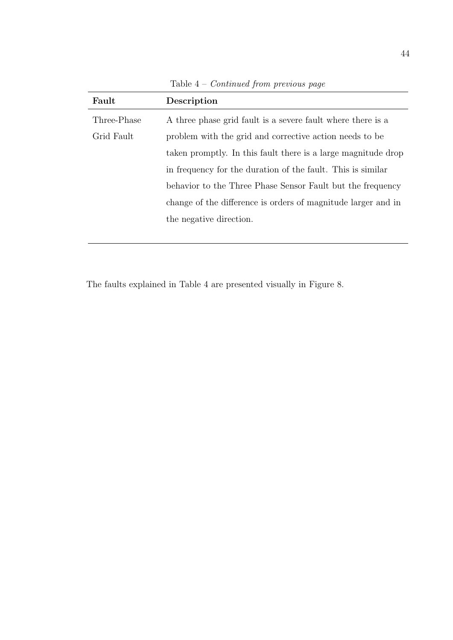| Fault       | Description                                                   |
|-------------|---------------------------------------------------------------|
| Three-Phase | A three phase grid fault is a severe fault where there is a   |
| Grid Fault  | problem with the grid and corrective action needs to be       |
|             | taken promptly. In this fault there is a large magnitude drop |
|             | in frequency for the duration of the fault. This is similar   |
|             | behavior to the Three Phase Sensor Fault but the frequency    |
|             | change of the difference is orders of magnitude larger and in |
|             | the negative direction.                                       |
|             |                                                               |

Table  $4$  –  $Continued$  from previous page

The faults explained in Table 4 are presented visually in Figure 8.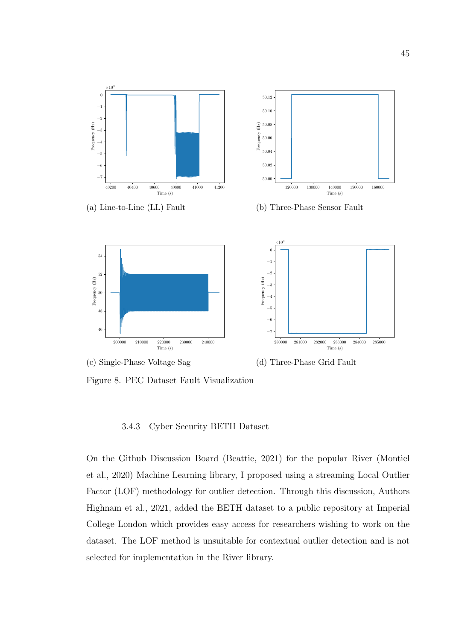



(d) Three-Phase Grid Fault

Figure 8. PEC Dataset Fault Visualization

#### 3.4.3 Cyber Security BETH Dataset

On the Github Discussion Board (Beattie, 2021) for the popular River (Montiel et al., 2020) Machine Learning library, I proposed using a streaming Local Outlier Factor (LOF) methodology for outlier detection. Through this discussion, Authors Highnam et al., 2021, added the BETH dataset to a public repository at Imperial College London which provides easy access for researchers wishing to work on the dataset. The LOF method is unsuitable for contextual outlier detection and is not selected for implementation in the River library.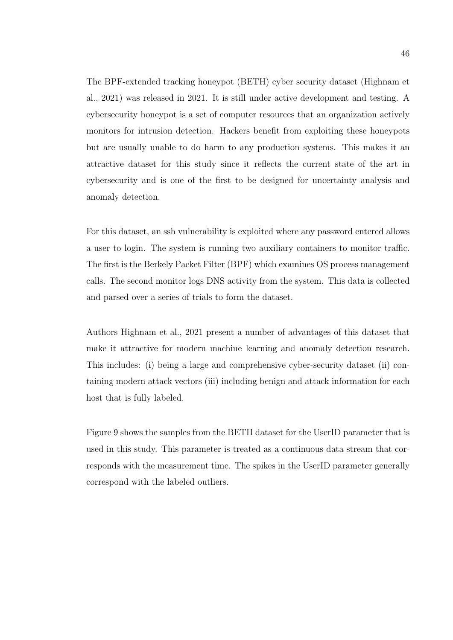The BPF-extended tracking honeypot (BETH) cyber security dataset (Highnam et al., 2021) was released in 2021. It is still under active development and testing. A cybersecurity honeypot is a set of computer resources that an organization actively monitors for intrusion detection. Hackers benefit from exploiting these honeypots but are usually unable to do harm to any production systems. This makes it an attractive dataset for this study since it reflects the current state of the art in cybersecurity and is one of the first to be designed for uncertainty analysis and anomaly detection.

For this dataset, an ssh vulnerability is exploited where any password entered allows a user to login. The system is running two auxiliary containers to monitor traffic. The first is the Berkely Packet Filter (BPF) which examines OS process management calls. The second monitor logs DNS activity from the system. This data is collected and parsed over a series of trials to form the dataset.

Authors Highnam et al., 2021 present a number of advantages of this dataset that make it attractive for modern machine learning and anomaly detection research. This includes: (i) being a large and comprehensive cyber-security dataset (ii) containing modern attack vectors (iii) including benign and attack information for each host that is fully labeled.

Figure 9 shows the samples from the BETH dataset for the UserID parameter that is used in this study. This parameter is treated as a continuous data stream that corresponds with the measurement time. The spikes in the UserID parameter generally correspond with the labeled outliers.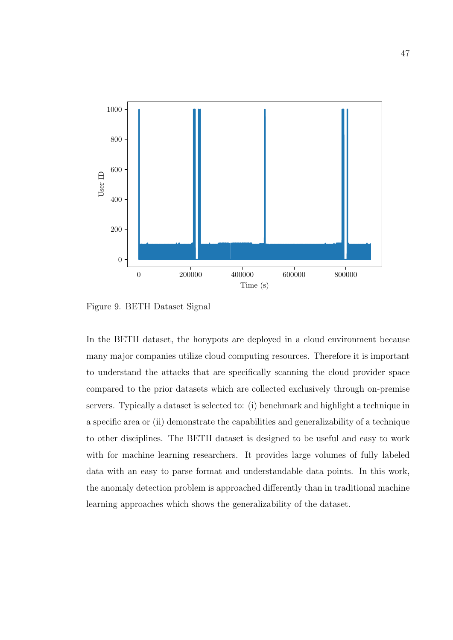

Figure 9. BETH Dataset Signal

In the BETH dataset, the honypots are deployed in a cloud environment because many major companies utilize cloud computing resources. Therefore it is important to understand the attacks that are specifically scanning the cloud provider space compared to the prior datasets which are collected exclusively through on-premise servers. Typically a dataset is selected to: (i) benchmark and highlight a technique in a specific area or (ii) demonstrate the capabilities and generalizability of a technique to other disciplines. The BETH dataset is designed to be useful and easy to work with for machine learning researchers. It provides large volumes of fully labeled data with an easy to parse format and understandable data points. In this work, the anomaly detection problem is approached differently than in traditional machine learning approaches which shows the generalizability of the dataset.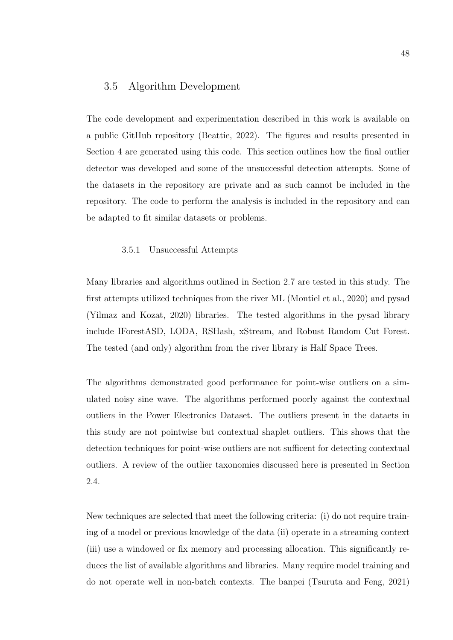### 3.5 Algorithm Development

The code development and experimentation described in this work is available on a public GitHub repository (Beattie, 2022). The figures and results presented in Section 4 are generated using this code. This section outlines how the final outlier detector was developed and some of the unsuccessful detection attempts. Some of the datasets in the repository are private and as such cannot be included in the repository. The code to perform the analysis is included in the repository and can be adapted to fit similar datasets or problems.

#### 3.5.1 Unsuccessful Attempts

Many libraries and algorithms outlined in Section 2.7 are tested in this study. The first attempts utilized techniques from the river ML (Montiel et al., 2020) and pysad (Yilmaz and Kozat, 2020) libraries. The tested algorithms in the pysad library include IForestASD, LODA, RSHash, xStream, and Robust Random Cut Forest. The tested (and only) algorithm from the river library is Half Space Trees.

The algorithms demonstrated good performance for point-wise outliers on a simulated noisy sine wave. The algorithms performed poorly against the contextual outliers in the Power Electronics Dataset. The outliers present in the dataets in this study are not pointwise but contextual shaplet outliers. This shows that the detection techniques for point-wise outliers are not sufficent for detecting contextual outliers. A review of the outlier taxonomies discussed here is presented in Section 2.4.

New techniques are selected that meet the following criteria: (i) do not require training of a model or previous knowledge of the data (ii) operate in a streaming context (iii) use a windowed or fix memory and processing allocation. This significantly reduces the list of available algorithms and libraries. Many require model training and do not operate well in non-batch contexts. The banpei (Tsuruta and Feng, 2021)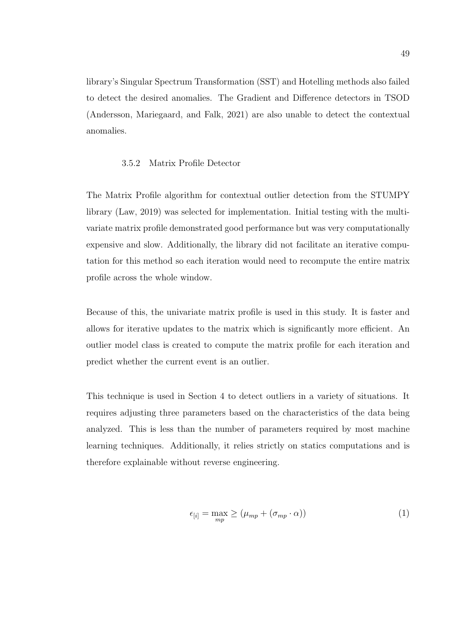library's Singular Spectrum Transformation (SST) and Hotelling methods also failed to detect the desired anomalies. The Gradient and Difference detectors in TSOD (Andersson, Mariegaard, and Falk, 2021) are also unable to detect the contextual anomalies.

### 3.5.2 Matrix Profile Detector

The Matrix Profile algorithm for contextual outlier detection from the STUMPY library (Law, 2019) was selected for implementation. Initial testing with the multivariate matrix profile demonstrated good performance but was very computationally expensive and slow. Additionally, the library did not facilitate an iterative computation for this method so each iteration would need to recompute the entire matrix profile across the whole window.

Because of this, the univariate matrix profile is used in this study. It is faster and allows for iterative updates to the matrix which is significantly more efficient. An outlier model class is created to compute the matrix profile for each iteration and predict whether the current event is an outlier.

This technique is used in Section 4 to detect outliers in a variety of situations. It requires adjusting three parameters based on the characteristics of the data being analyzed. This is less than the number of parameters required by most machine learning techniques. Additionally, it relies strictly on statics computations and is therefore explainable without reverse engineering.

$$
\epsilon_{[i]} = \max_{mp} \ge (\mu_{mp} + (\sigma_{mp} \cdot \alpha)) \tag{1}
$$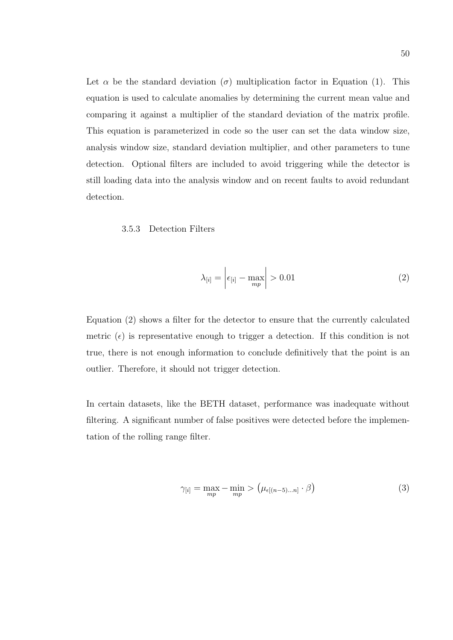Let  $\alpha$  be the standard deviation ( $\sigma$ ) multiplication factor in Equation (1). This equation is used to calculate anomalies by determining the current mean value and comparing it against a multiplier of the standard deviation of the matrix profile. This equation is parameterized in code so the user can set the data window size, analysis window size, standard deviation multiplier, and other parameters to tune detection. Optional filters are included to avoid triggering while the detector is still loading data into the analysis window and on recent faults to avoid redundant detection.

### 3.5.3 Detection Filters

$$
\lambda_{[i]} = \left| \epsilon_{[i]} - \max_{mp} \right| > 0.01 \tag{2}
$$

Equation (2) shows a filter for the detector to ensure that the currently calculated metric  $(\epsilon)$  is representative enough to trigger a detection. If this condition is not true, there is not enough information to conclude definitively that the point is an outlier. Therefore, it should not trigger detection.

In certain datasets, like the BETH dataset, performance was inadequate without filtering. A significant number of false positives were detected before the implementation of the rolling range filter.

$$
\gamma_{[i]} = \max_{mp} - \min_{mp} > \left(\mu_{\epsilon[(n-5)\dots n]} \cdot \beta\right)
$$
\n(3)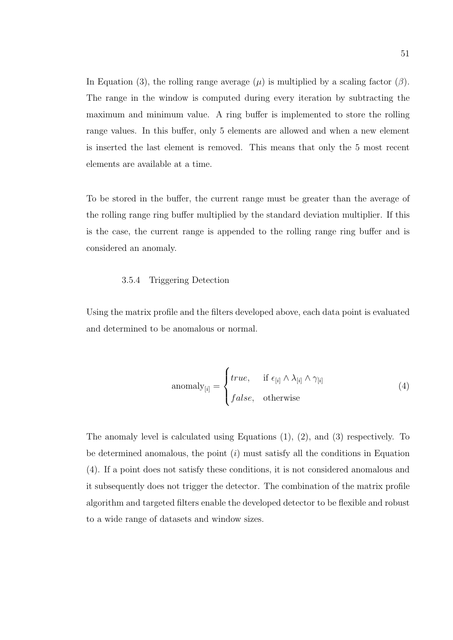In Equation (3), the rolling range average  $(\mu)$  is multiplied by a scaling factor  $(\beta)$ . The range in the window is computed during every iteration by subtracting the maximum and minimum value. A ring buffer is implemented to store the rolling range values. In this buffer, only 5 elements are allowed and when a new element is inserted the last element is removed. This means that only the 5 most recent elements are available at a time.

To be stored in the buffer, the current range must be greater than the average of the rolling range ring buffer multiplied by the standard deviation multiplier. If this is the case, the current range is appended to the rolling range ring buffer and is considered an anomaly.

#### 3.5.4 Triggering Detection

Using the matrix profile and the filters developed above, each data point is evaluated and determined to be anomalous or normal.

$$
anomaly_{[i]} = \begin{cases} true, & \text{if } \epsilon_{[i]} \wedge \lambda_{[i]} \wedge \gamma_{[i]} \\ false, & \text{otherwise} \end{cases}
$$
 (4)

The anomaly level is calculated using Equations (1), (2), and (3) respectively. To be determined anomalous, the point  $(i)$  must satisfy all the conditions in Equation (4). If a point does not satisfy these conditions, it is not considered anomalous and it subsequently does not trigger the detector. The combination of the matrix profile algorithm and targeted filters enable the developed detector to be flexible and robust to a wide range of datasets and window sizes.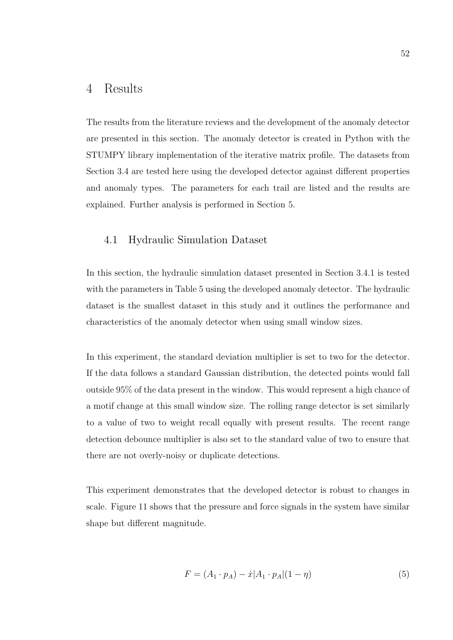## 4 Results

The results from the literature reviews and the development of the anomaly detector are presented in this section. The anomaly detector is created in Python with the STUMPY library implementation of the iterative matrix profile. The datasets from Section 3.4 are tested here using the developed detector against different properties and anomaly types. The parameters for each trail are listed and the results are explained. Further analysis is performed in Section 5.

### 4.1 Hydraulic Simulation Dataset

In this section, the hydraulic simulation dataset presented in Section 3.4.1 is tested with the parameters in Table 5 using the developed anomaly detector. The hydraulic dataset is the smallest dataset in this study and it outlines the performance and characteristics of the anomaly detector when using small window sizes.

In this experiment, the standard deviation multiplier is set to two for the detector. If the data follows a standard Gaussian distribution, the detected points would fall outside 95% of the data present in the window. This would represent a high chance of a motif change at this small window size. The rolling range detector is set similarly to a value of two to weight recall equally with present results. The recent range detection debounce multiplier is also set to the standard value of two to ensure that there are not overly-noisy or duplicate detections.

This experiment demonstrates that the developed detector is robust to changes in scale. Figure 11 shows that the pressure and force signals in the system have similar shape but different magnitude.

$$
F = (A_1 \cdot p_A) - \dot{x} |A_1 \cdot p_A| (1 - \eta)
$$
\n(5)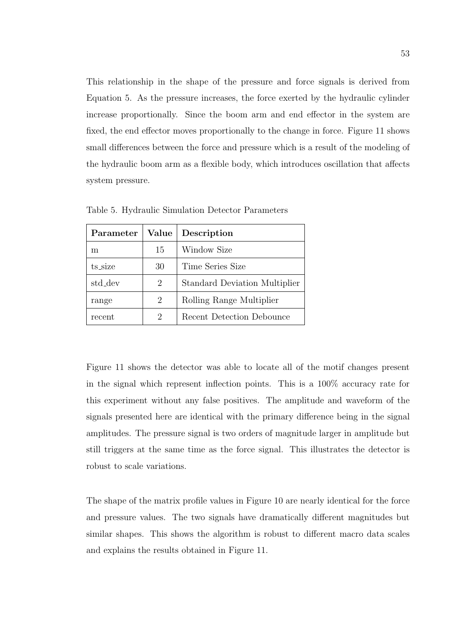This relationship in the shape of the pressure and force signals is derived from Equation 5. As the pressure increases, the force exerted by the hydraulic cylinder increase proportionally. Since the boom arm and end effector in the system are fixed, the end effector moves proportionally to the change in force. Figure 11 shows small differences between the force and pressure which is a result of the modeling of the hydraulic boom arm as a flexible body, which introduces oscillation that affects system pressure.

| Parameter | Value | Description                   |
|-----------|-------|-------------------------------|
| m         | 15    | <b>Window Size</b>            |
| ts_size   | 30    | Time Series Size              |
| std_dev   | 2     | Standard Deviation Multiplier |
| range     | 2     | Rolling Range Multiplier      |
| recent    | 2     | Recent Detection Debounce     |

Table 5. Hydraulic Simulation Detector Parameters

Figure 11 shows the detector was able to locate all of the motif changes present in the signal which represent inflection points. This is a 100% accuracy rate for this experiment without any false positives. The amplitude and waveform of the signals presented here are identical with the primary difference being in the signal amplitudes. The pressure signal is two orders of magnitude larger in amplitude but still triggers at the same time as the force signal. This illustrates the detector is robust to scale variations.

The shape of the matrix profile values in Figure 10 are nearly identical for the force and pressure values. The two signals have dramatically different magnitudes but similar shapes. This shows the algorithm is robust to different macro data scales and explains the results obtained in Figure 11.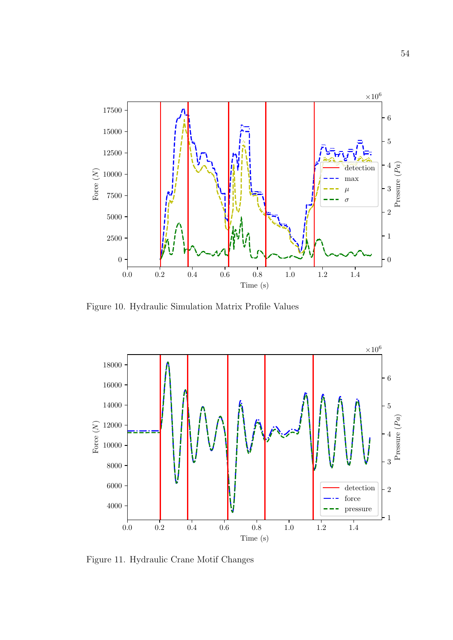

Figure 10. Hydraulic Simulation Matrix Profile Values



Figure 11. Hydraulic Crane Motif Changes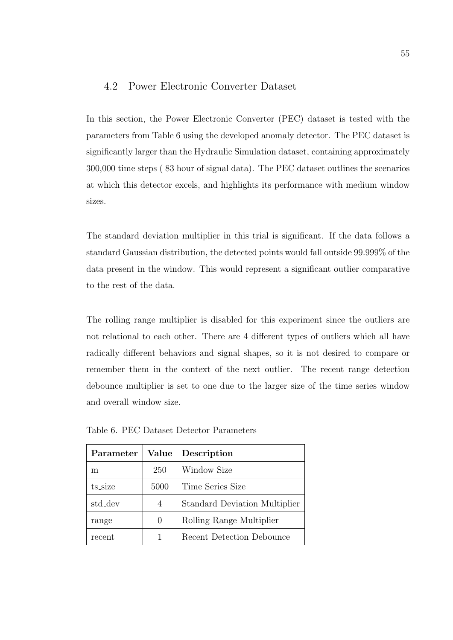### 4.2 Power Electronic Converter Dataset

In this section, the Power Electronic Converter (PEC) dataset is tested with the parameters from Table 6 using the developed anomaly detector. The PEC dataset is significantly larger than the Hydraulic Simulation dataset, containing approximately 300,000 time steps ( 83 hour of signal data). The PEC dataset outlines the scenarios at which this detector excels, and highlights its performance with medium window sizes.

The standard deviation multiplier in this trial is significant. If the data follows a standard Gaussian distribution, the detected points would fall outside 99.999% of the data present in the window. This would represent a significant outlier comparative to the rest of the data.

The rolling range multiplier is disabled for this experiment since the outliers are not relational to each other. There are 4 different types of outliers which all have radically different behaviors and signal shapes, so it is not desired to compare or remember them in the context of the next outlier. The recent range detection debounce multiplier is set to one due to the larger size of the time series window and overall window size.

| Parameter | Value            | Description                          |
|-----------|------------------|--------------------------------------|
| m         | 250              | Window Size                          |
| ts_size   | 5000             | Time Series Size                     |
| std_dev   | 4                | <b>Standard Deviation Multiplier</b> |
| range     | $\left( \right)$ | Rolling Range Multiplier             |
| recent    |                  | Recent Detection Debounce            |

Table 6. PEC Dataset Detector Parameters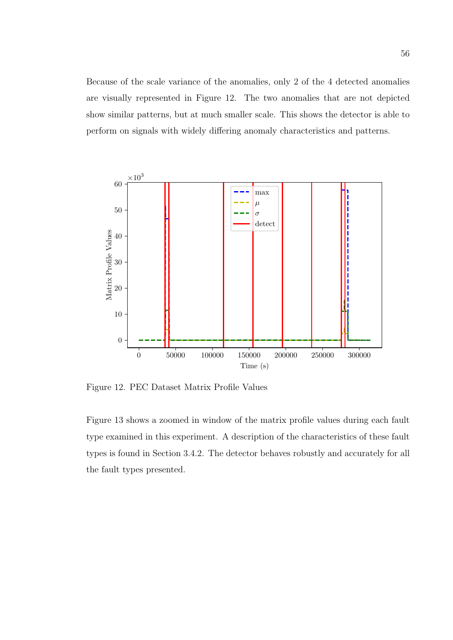Because of the scale variance of the anomalies, only 2 of the 4 detected anomalies are visually represented in Figure 12. The two anomalies that are not depicted show similar patterns, but at much smaller scale. This shows the detector is able to perform on signals with widely differing anomaly characteristics and patterns.



Figure 12. PEC Dataset Matrix Profile Values

Figure 13 shows a zoomed in window of the matrix profile values during each fault type examined in this experiment. A description of the characteristics of these fault types is found in Section 3.4.2. The detector behaves robustly and accurately for all the fault types presented.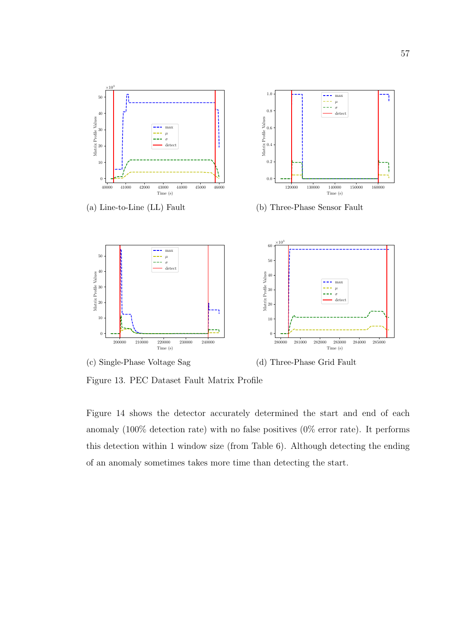

Figure 13. PEC Dataset Fault Matrix Profile

Figure 14 shows the detector accurately determined the start and end of each anomaly (100% detection rate) with no false positives (0% error rate). It performs this detection within 1 window size (from Table 6). Although detecting the ending of an anomaly sometimes takes more time than detecting the start.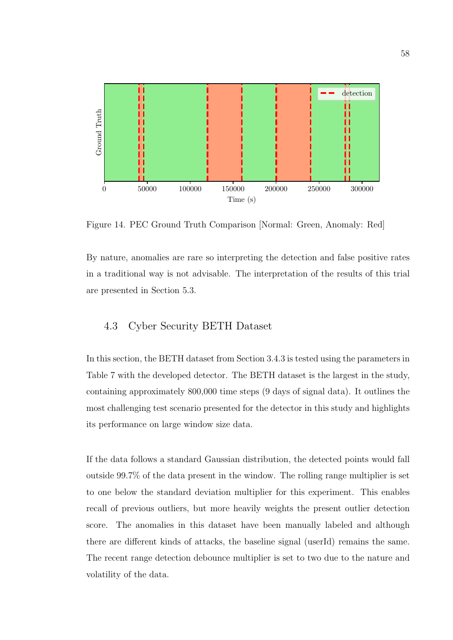

Figure 14. PEC Ground Truth Comparison [Normal: Green, Anomaly: Red]

By nature, anomalies are rare so interpreting the detection and false positive rates in a traditional way is not advisable. The interpretation of the results of this trial are presented in Section 5.3.

# 4.3 Cyber Security BETH Dataset

In this section, the BETH dataset from Section 3.4.3 is tested using the parameters in Table 7 with the developed detector. The BETH dataset is the largest in the study, containing approximately 800,000 time steps (9 days of signal data). It outlines the most challenging test scenario presented for the detector in this study and highlights its performance on large window size data.

If the data follows a standard Gaussian distribution, the detected points would fall outside 99.7% of the data present in the window. The rolling range multiplier is set to one below the standard deviation multiplier for this experiment. This enables recall of previous outliers, but more heavily weights the present outlier detection score. The anomalies in this dataset have been manually labeled and although there are different kinds of attacks, the baseline signal (userId) remains the same. The recent range detection debounce multiplier is set to two due to the nature and volatility of the data.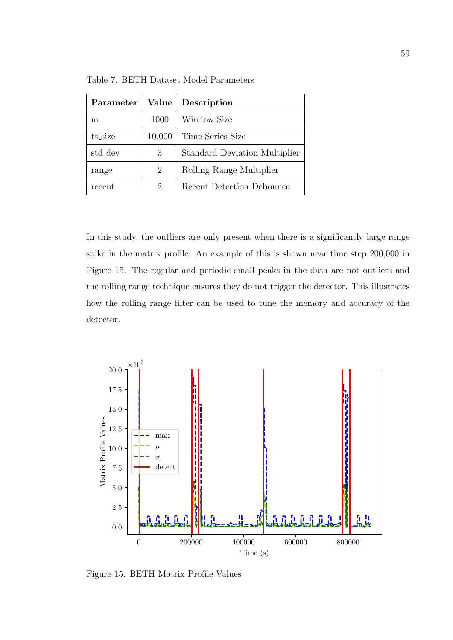| Parameter | <b>Value</b> | Description                   |
|-----------|--------------|-------------------------------|
| m         | 1000         | Window Size                   |
| ts_size   | 10,000       | Time Series Size              |
| std_dev   | 3            | Standard Deviation Multiplier |
| range     | 2            | Rolling Range Multiplier      |
| recent    | 2            | Recent Detection Debounce     |

Table 7. BETH Dataset Model Parameters

In this study, the outliers are only present when there is a significantly large range spike in the matrix profile. An example of this is shown near time step 200,000 in Figure 15. The regular and periodic small peaks in the data are not outliers and the rolling range technique ensures they do not trigger the detector. This illustrates how the rolling range filter can be used to tune the memory and accuracy of the detector.



Figure 15. BETH Matrix Profile Values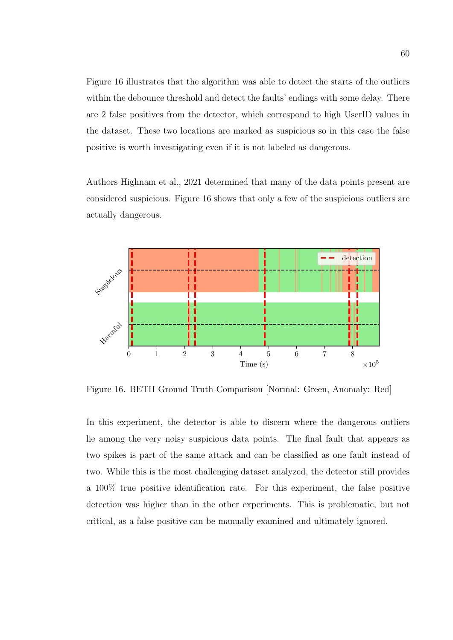Figure 16 illustrates that the algorithm was able to detect the starts of the outliers within the debounce threshold and detect the faults' endings with some delay. There are 2 false positives from the detector, which correspond to high UserID values in the dataset. These two locations are marked as suspicious so in this case the false positive is worth investigating even if it is not labeled as dangerous.

Authors Highnam et al., 2021 determined that many of the data points present are considered suspicious. Figure 16 shows that only a few of the suspicious outliers are actually dangerous.



Figure 16. BETH Ground Truth Comparison [Normal: Green, Anomaly: Red]

In this experiment, the detector is able to discern where the dangerous outliers lie among the very noisy suspicious data points. The final fault that appears as two spikes is part of the same attack and can be classified as one fault instead of two. While this is the most challenging dataset analyzed, the detector still provides a 100% true positive identification rate. For this experiment, the false positive detection was higher than in the other experiments. This is problematic, but not critical, as a false positive can be manually examined and ultimately ignored.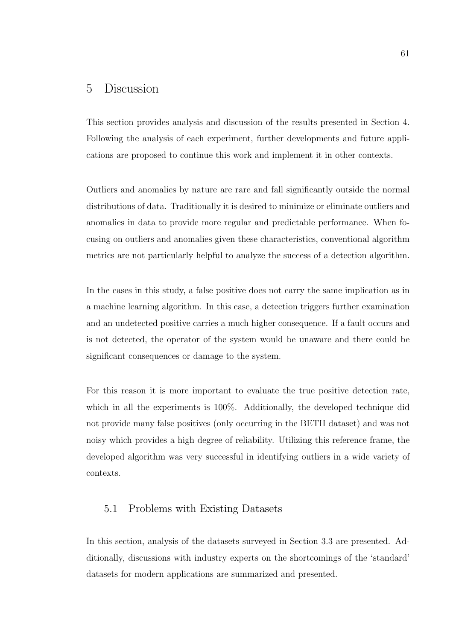## 5 Discussion

This section provides analysis and discussion of the results presented in Section 4. Following the analysis of each experiment, further developments and future applications are proposed to continue this work and implement it in other contexts.

Outliers and anomalies by nature are rare and fall significantly outside the normal distributions of data. Traditionally it is desired to minimize or eliminate outliers and anomalies in data to provide more regular and predictable performance. When focusing on outliers and anomalies given these characteristics, conventional algorithm metrics are not particularly helpful to analyze the success of a detection algorithm.

In the cases in this study, a false positive does not carry the same implication as in a machine learning algorithm. In this case, a detection triggers further examination and an undetected positive carries a much higher consequence. If a fault occurs and is not detected, the operator of the system would be unaware and there could be significant consequences or damage to the system.

For this reason it is more important to evaluate the true positive detection rate, which in all the experiments is 100%. Additionally, the developed technique did not provide many false positives (only occurring in the BETH dataset) and was not noisy which provides a high degree of reliability. Utilizing this reference frame, the developed algorithm was very successful in identifying outliers in a wide variety of contexts.

## 5.1 Problems with Existing Datasets

In this section, analysis of the datasets surveyed in Section 3.3 are presented. Additionally, discussions with industry experts on the shortcomings of the 'standard' datasets for modern applications are summarized and presented.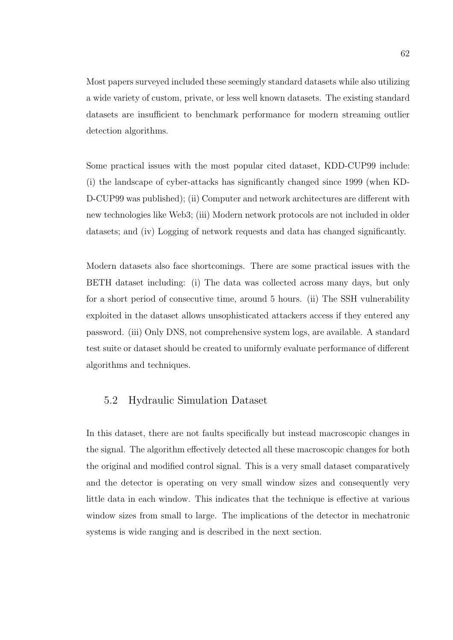Most papers surveyed included these seemingly standard datasets while also utilizing a wide variety of custom, private, or less well known datasets. The existing standard datasets are insufficient to benchmark performance for modern streaming outlier detection algorithms.

Some practical issues with the most popular cited dataset, KDD-CUP99 include: (i) the landscape of cyber-attacks has significantly changed since 1999 (when KD-D-CUP99 was published); (ii) Computer and network architectures are different with new technologies like Web3; (iii) Modern network protocols are not included in older datasets; and (iv) Logging of network requests and data has changed significantly.

Modern datasets also face shortcomings. There are some practical issues with the BETH dataset including: (i) The data was collected across many days, but only for a short period of consecutive time, around 5 hours. (ii) The SSH vulnerability exploited in the dataset allows unsophisticated attackers access if they entered any password. (iii) Only DNS, not comprehensive system logs, are available. A standard test suite or dataset should be created to uniformly evaluate performance of different algorithms and techniques.

### 5.2 Hydraulic Simulation Dataset

In this dataset, there are not faults specifically but instead macroscopic changes in the signal. The algorithm effectively detected all these macroscopic changes for both the original and modified control signal. This is a very small dataset comparatively and the detector is operating on very small window sizes and consequently very little data in each window. This indicates that the technique is effective at various window sizes from small to large. The implications of the detector in mechatronic systems is wide ranging and is described in the next section.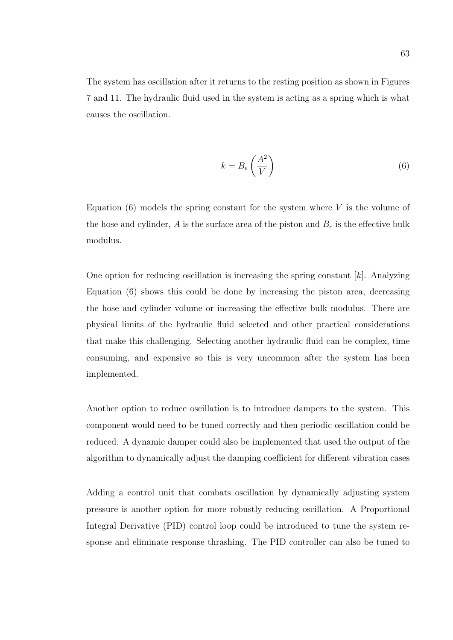The system has oscillation after it returns to the resting position as shown in Figures 7 and 11. The hydraulic fluid used in the system is acting as a spring which is what causes the oscillation.

$$
k = B_e \left(\frac{A^2}{V}\right) \tag{6}
$$

Equation  $(6)$  models the spring constant for the system where V is the volume of the hose and cylinder,  $A$  is the surface area of the piston and  $B<sub>e</sub>$  is the effective bulk modulus.

One option for reducing oscillation is increasing the spring constant  $[k]$ . Analyzing Equation (6) shows this could be done by increasing the piston area, decreasing the hose and cylinder volume or increasing the effective bulk modulus. There are physical limits of the hydraulic fluid selected and other practical considerations that make this challenging. Selecting another hydraulic fluid can be complex, time consuming, and expensive so this is very uncommon after the system has been implemented.

Another option to reduce oscillation is to introduce dampers to the system. This component would need to be tuned correctly and then periodic oscillation could be reduced. A dynamic damper could also be implemented that used the output of the algorithm to dynamically adjust the damping coefficient for different vibration cases

Adding a control unit that combats oscillation by dynamically adjusting system pressure is another option for more robustly reducing oscillation. A Proportional Integral Derivative (PID) control loop could be introduced to tune the system response and eliminate response thrashing. The PID controller can also be tuned to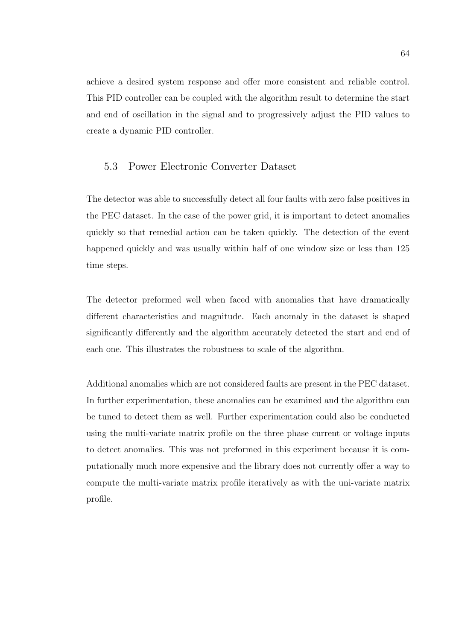achieve a desired system response and offer more consistent and reliable control. This PID controller can be coupled with the algorithm result to determine the start and end of oscillation in the signal and to progressively adjust the PID values to create a dynamic PID controller.

## 5.3 Power Electronic Converter Dataset

The detector was able to successfully detect all four faults with zero false positives in the PEC dataset. In the case of the power grid, it is important to detect anomalies quickly so that remedial action can be taken quickly. The detection of the event happened quickly and was usually within half of one window size or less than 125 time steps.

The detector preformed well when faced with anomalies that have dramatically different characteristics and magnitude. Each anomaly in the dataset is shaped significantly differently and the algorithm accurately detected the start and end of each one. This illustrates the robustness to scale of the algorithm.

Additional anomalies which are not considered faults are present in the PEC dataset. In further experimentation, these anomalies can be examined and the algorithm can be tuned to detect them as well. Further experimentation could also be conducted using the multi-variate matrix profile on the three phase current or voltage inputs to detect anomalies. This was not preformed in this experiment because it is computationally much more expensive and the library does not currently offer a way to compute the multi-variate matrix profile iteratively as with the uni-variate matrix profile.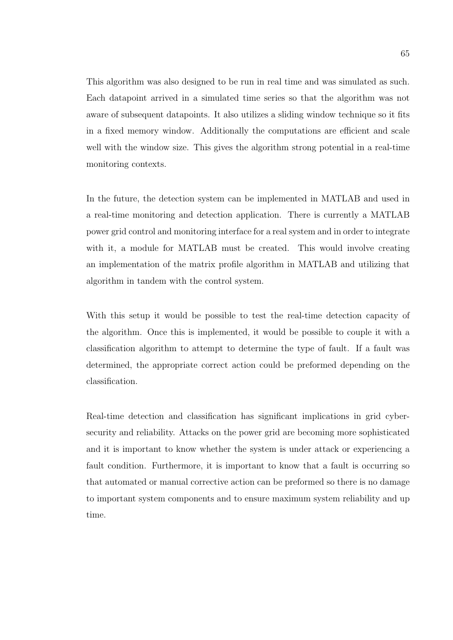This algorithm was also designed to be run in real time and was simulated as such. Each datapoint arrived in a simulated time series so that the algorithm was not aware of subsequent datapoints. It also utilizes a sliding window technique so it fits in a fixed memory window. Additionally the computations are efficient and scale well with the window size. This gives the algorithm strong potential in a real-time monitoring contexts.

In the future, the detection system can be implemented in MATLAB and used in a real-time monitoring and detection application. There is currently a MATLAB power grid control and monitoring interface for a real system and in order to integrate with it, a module for MATLAB must be created. This would involve creating an implementation of the matrix profile algorithm in MATLAB and utilizing that algorithm in tandem with the control system.

With this setup it would be possible to test the real-time detection capacity of the algorithm. Once this is implemented, it would be possible to couple it with a classification algorithm to attempt to determine the type of fault. If a fault was determined, the appropriate correct action could be preformed depending on the classification.

Real-time detection and classification has significant implications in grid cybersecurity and reliability. Attacks on the power grid are becoming more sophisticated and it is important to know whether the system is under attack or experiencing a fault condition. Furthermore, it is important to know that a fault is occurring so that automated or manual corrective action can be preformed so there is no damage to important system components and to ensure maximum system reliability and up time.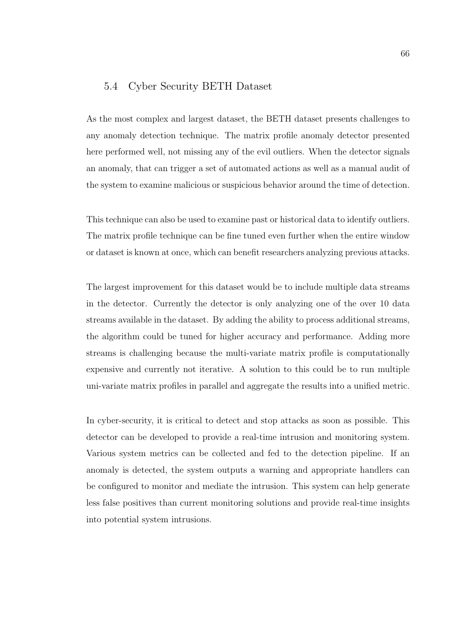### 5.4 Cyber Security BETH Dataset

As the most complex and largest dataset, the BETH dataset presents challenges to any anomaly detection technique. The matrix profile anomaly detector presented here performed well, not missing any of the evil outliers. When the detector signals an anomaly, that can trigger a set of automated actions as well as a manual audit of the system to examine malicious or suspicious behavior around the time of detection.

This technique can also be used to examine past or historical data to identify outliers. The matrix profile technique can be fine tuned even further when the entire window or dataset is known at once, which can benefit researchers analyzing previous attacks.

The largest improvement for this dataset would be to include multiple data streams in the detector. Currently the detector is only analyzing one of the over 10 data streams available in the dataset. By adding the ability to process additional streams, the algorithm could be tuned for higher accuracy and performance. Adding more streams is challenging because the multi-variate matrix profile is computationally expensive and currently not iterative. A solution to this could be to run multiple uni-variate matrix profiles in parallel and aggregate the results into a unified metric.

In cyber-security, it is critical to detect and stop attacks as soon as possible. This detector can be developed to provide a real-time intrusion and monitoring system. Various system metrics can be collected and fed to the detection pipeline. If an anomaly is detected, the system outputs a warning and appropriate handlers can be configured to monitor and mediate the intrusion. This system can help generate less false positives than current monitoring solutions and provide real-time insights into potential system intrusions.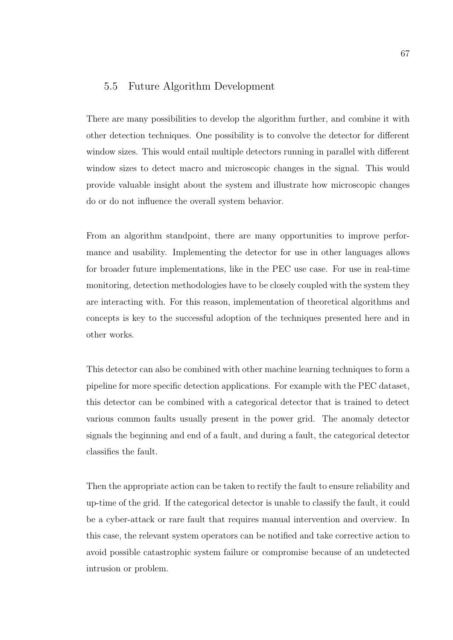### 5.5 Future Algorithm Development

There are many possibilities to develop the algorithm further, and combine it with other detection techniques. One possibility is to convolve the detector for different window sizes. This would entail multiple detectors running in parallel with different window sizes to detect macro and microscopic changes in the signal. This would provide valuable insight about the system and illustrate how microscopic changes do or do not influence the overall system behavior.

From an algorithm standpoint, there are many opportunities to improve performance and usability. Implementing the detector for use in other languages allows for broader future implementations, like in the PEC use case. For use in real-time monitoring, detection methodologies have to be closely coupled with the system they are interacting with. For this reason, implementation of theoretical algorithms and concepts is key to the successful adoption of the techniques presented here and in other works.

This detector can also be combined with other machine learning techniques to form a pipeline for more specific detection applications. For example with the PEC dataset, this detector can be combined with a categorical detector that is trained to detect various common faults usually present in the power grid. The anomaly detector signals the beginning and end of a fault, and during a fault, the categorical detector classifies the fault.

Then the appropriate action can be taken to rectify the fault to ensure reliability and up-time of the grid. If the categorical detector is unable to classify the fault, it could be a cyber-attack or rare fault that requires manual intervention and overview. In this case, the relevant system operators can be notified and take corrective action to avoid possible catastrophic system failure or compromise because of an undetected intrusion or problem.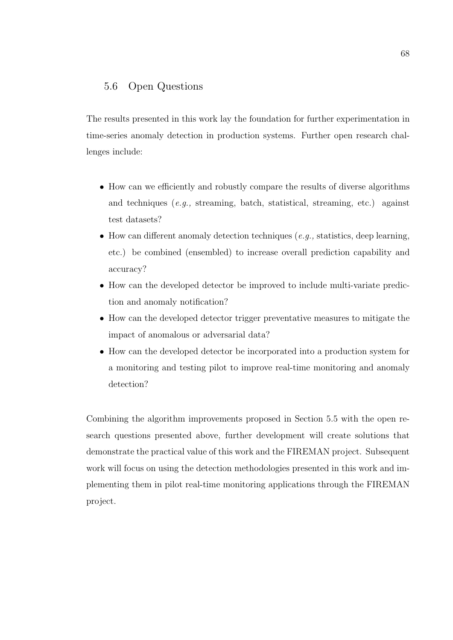### 5.6 Open Questions

The results presented in this work lay the foundation for further experimentation in time-series anomaly detection in production systems. Further open research challenges include:

- How can we efficiently and robustly compare the results of diverse algorithms and techniques (e.g., streaming, batch, statistical, streaming, etc.) against test datasets?
- How can different anomaly detection techniques  $(e.q.,$  statistics, deep learning, etc.) be combined (ensembled) to increase overall prediction capability and accuracy?
- How can the developed detector be improved to include multi-variate prediction and anomaly notification?
- How can the developed detector trigger preventative measures to mitigate the impact of anomalous or adversarial data?
- How can the developed detector be incorporated into a production system for a monitoring and testing pilot to improve real-time monitoring and anomaly detection?

Combining the algorithm improvements proposed in Section 5.5 with the open research questions presented above, further development will create solutions that demonstrate the practical value of this work and the FIREMAN project. Subsequent work will focus on using the detection methodologies presented in this work and implementing them in pilot real-time monitoring applications through the FIREMAN project.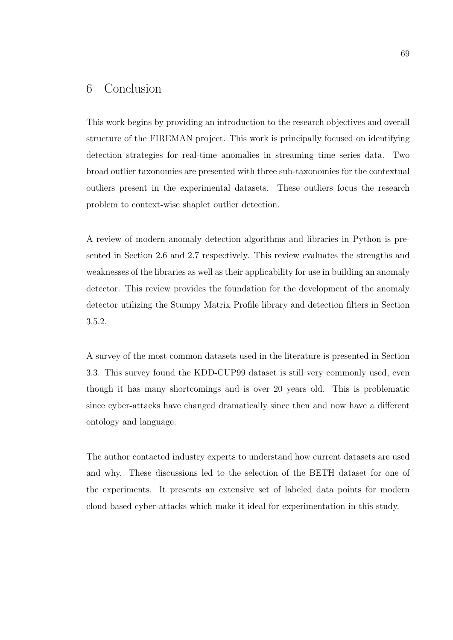# 6 Conclusion

This work begins by providing an introduction to the research objectives and overall structure of the FIREMAN project. This work is principally focused on identifying detection strategies for real-time anomalies in streaming time series data. Two broad outlier taxonomies are presented with three sub-taxonomies for the contextual outliers present in the experimental datasets. These outliers focus the research problem to context-wise shaplet outlier detection.

A review of modern anomaly detection algorithms and libraries in Python is presented in Section 2.6 and 2.7 respectively. This review evaluates the strengths and weaknesses of the libraries as well as their applicability for use in building an anomaly detector. This review provides the foundation for the development of the anomaly detector utilizing the Stumpy Matrix Profile library and detection filters in Section 3.5.2.

A survey of the most common datasets used in the literature is presented in Section 3.3. This survey found the KDD-CUP99 dataset is still very commonly used, even though it has many shortcomings and is over 20 years old. This is problematic since cyber-attacks have changed dramatically since then and now have a different ontology and language.

The author contacted industry experts to understand how current datasets are used and why. These discussions led to the selection of the BETH dataset for one of the experiments. It presents an extensive set of labeled data points for modern cloud-based cyber-attacks which make it ideal for experimentation in this study.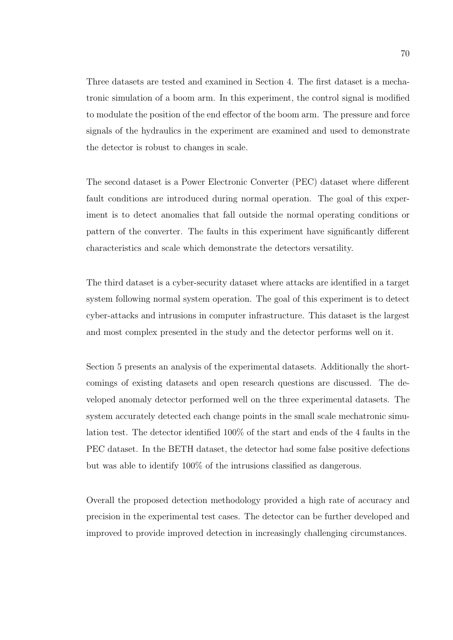Three datasets are tested and examined in Section 4. The first dataset is a mechatronic simulation of a boom arm. In this experiment, the control signal is modified to modulate the position of the end effector of the boom arm. The pressure and force signals of the hydraulics in the experiment are examined and used to demonstrate the detector is robust to changes in scale.

The second dataset is a Power Electronic Converter (PEC) dataset where different fault conditions are introduced during normal operation. The goal of this experiment is to detect anomalies that fall outside the normal operating conditions or pattern of the converter. The faults in this experiment have significantly different characteristics and scale which demonstrate the detectors versatility.

The third dataset is a cyber-security dataset where attacks are identified in a target system following normal system operation. The goal of this experiment is to detect cyber-attacks and intrusions in computer infrastructure. This dataset is the largest and most complex presented in the study and the detector performs well on it.

Section 5 presents an analysis of the experimental datasets. Additionally the shortcomings of existing datasets and open research questions are discussed. The developed anomaly detector performed well on the three experimental datasets. The system accurately detected each change points in the small scale mechatronic simulation test. The detector identified 100% of the start and ends of the 4 faults in the PEC dataset. In the BETH dataset, the detector had some false positive defections but was able to identify 100% of the intrusions classified as dangerous.

Overall the proposed detection methodology provided a high rate of accuracy and precision in the experimental test cases. The detector can be further developed and improved to provide improved detection in increasingly challenging circumstances.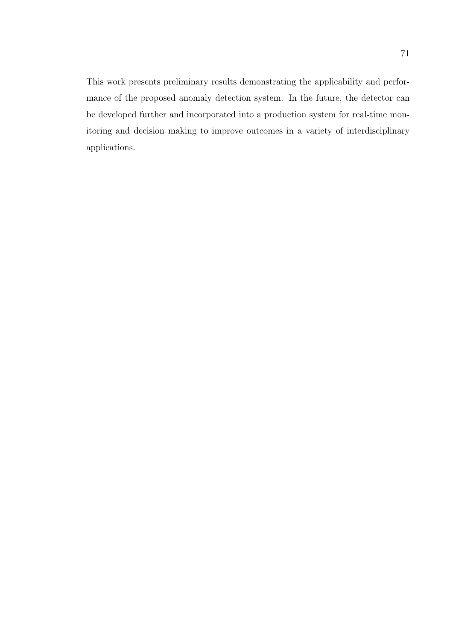This work presents preliminary results demonstrating the applicability and performance of the proposed anomaly detection system. In the future, the detector can be developed further and incorporated into a production system for real-time monitoring and decision making to improve outcomes in a variety of interdisciplinary applications.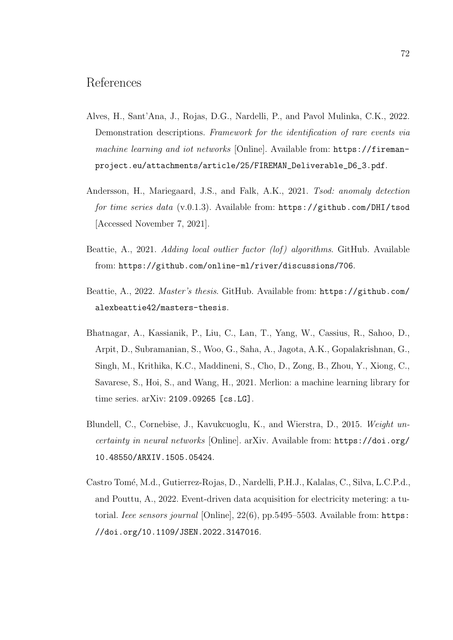# References

- Alves, H., Sant'Ana, J., Rojas, D.G., Nardelli, P., and Pavol Mulinka, C.K., 2022. Demonstration descriptions. Framework for the identification of rare events via machine learning and iot networks [Online]. Available from: https://firemanproject.eu/attachments/article/25/FIREMAN\_Deliverable\_D6\_3.pdf.
- Andersson, H., Mariegaard, J.S., and Falk, A.K., 2021. Tsod: anomaly detection for time series data (v.0.1.3). Available from: https://github.com/DHI/tsod [Accessed November 7, 2021].
- Beattie, A., 2021. Adding local outlier factor (lof) algorithms. GitHub. Available from: https://github.com/online-ml/river/discussions/706.
- Beattie, A., 2022. Master's thesis. GitHub. Available from: https://github.com/ alexbeattie42/masters-thesis.
- Bhatnagar, A., Kassianik, P., Liu, C., Lan, T., Yang, W., Cassius, R., Sahoo, D., Arpit, D., Subramanian, S., Woo, G., Saha, A., Jagota, A.K., Gopalakrishnan, G., Singh, M., Krithika, K.C., Maddineni, S., Cho, D., Zong, B., Zhou, Y., Xiong, C., Savarese, S., Hoi, S., and Wang, H., 2021. Merlion: a machine learning library for time series. arXiv: 2109.09265 [cs.LG].
- Blundell, C., Cornebise, J., Kavukcuoglu, K., and Wierstra, D., 2015. Weight uncertainty in neural networks [Online]. arXiv. Available from: https://doi.org/ 10.48550/ARXIV.1505.05424.
- Castro Tomé, M.d., Gutierrez-Rojas, D., Nardelli, P.H.J., Kalalas, C., Silva, L.C.P.d., and Pouttu, A., 2022. Event-driven data acquisition for electricity metering: a tutorial. Ieee sensors journal [Online], 22(6), pp.5495–5503. Available from: https: //doi.org/10.1109/JSEN.2022.3147016.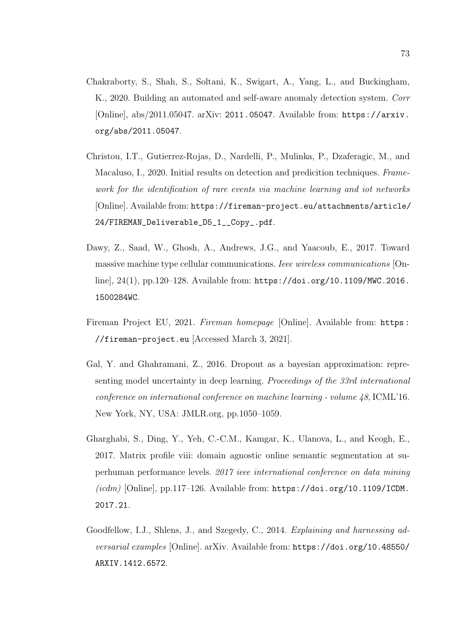- Chakraborty, S., Shah, S., Soltani, K., Swigart, A., Yang, L., and Buckingham, K., 2020. Building an automated and self-aware anomaly detection system. Corr [Online], abs/2011.05047. arXiv: 2011.05047. Available from: https://arxiv. org/abs/2011.05047.
- Christou, I.T., Gutierrez-Rojas, D., Nardelli, P., Mulinka, P., Dzaferagic, M., and Macaluso, I., 2020. Initial results on detection and predicition techniques. Framework for the identification of rare events via machine learning and iot networks [Online]. Available from: https://fireman-project.eu/attachments/article/ 24/FIREMAN\_Deliverable\_D5\_1\_\_Copy\_.pdf.
- Dawy, Z., Saad, W., Ghosh, A., Andrews, J.G., and Yaacoub, E., 2017. Toward massive machine type cellular communications. Ieee wireless communications [Online], 24(1), pp.120–128. Available from: https://doi.org/10.1109/MWC.2016. 1500284WC.
- Fireman Project EU, 2021. Fireman homepage [Online]. Available from: https: //fireman-project.eu [Accessed March 3, 2021].
- Gal, Y. and Ghahramani, Z., 2016. Dropout as a bayesian approximation: representing model uncertainty in deep learning. Proceedings of the 33rd international conference on international conference on machine learning - volume 48, ICML'16. New York, NY, USA: JMLR.org, pp.1050–1059.
- Gharghabi, S., Ding, Y., Yeh, C.-C.M., Kamgar, K., Ulanova, L., and Keogh, E., 2017. Matrix profile viii: domain agnostic online semantic segmentation at superhuman performance levels. 2017 ieee international conference on data mining ( $icdm$ ) [Online], pp.117-126. Available from:  $https://doi.org/10.1109/ICDM$ . 2017.21.
- Goodfellow, I.J., Shlens, J., and Szegedy, C., 2014. Explaining and harnessing adversarial examples [Online]. arXiv. Available from: https://doi.org/10.48550/ ARXIV.1412.6572.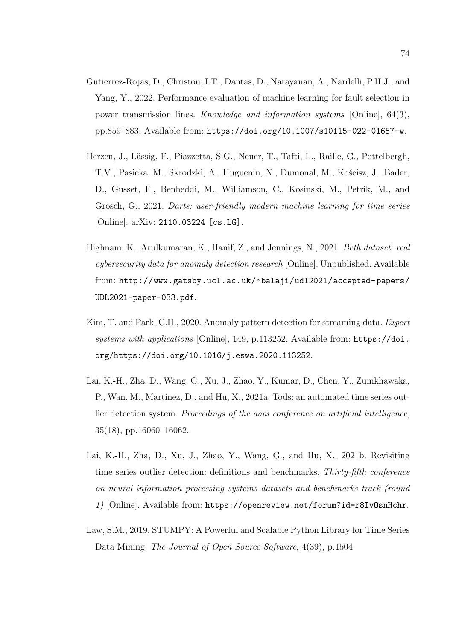- Gutierrez-Rojas, D., Christou, I.T., Dantas, D., Narayanan, A., Nardelli, P.H.J., and Yang, Y., 2022. Performance evaluation of machine learning for fault selection in power transmission lines. Knowledge and information systems [Online], 64(3), pp.859–883. Available from: https://doi.org/10.1007/s10115-022-01657-w.
- Herzen, J., Lässig, F., Piazzetta, S.G., Neuer, T., Tafti, L., Raille, G., Pottelbergh, T.V., Pasieka, M., Skrodzki, A., Huguenin, N., Dumonal, M., Kościsz, J., Bader, D., Gusset, F., Benheddi, M., Williamson, C., Kosinski, M., Petrik, M., and Grosch, G., 2021. Darts: user-friendly modern machine learning for time series [Online]. arXiv: 2110.03224 [cs.LG].
- Highnam, K., Arulkumaran, K., Hanif, Z., and Jennings, N., 2021. Beth dataset: real cybersecurity data for anomaly detection research [Online]. Unpublished. Available from: http://www.gatsby.ucl.ac.uk/~balaji/udl2021/accepted-papers/ UDL2021-paper-033.pdf.
- Kim, T. and Park, C.H., 2020. Anomaly pattern detection for streaming data. Expert systems with applications [Online], 149, p.113252. Available from: https://doi. org/https://doi.org/10.1016/j.eswa.2020.113252.
- Lai, K.-H., Zha, D., Wang, G., Xu, J., Zhao, Y., Kumar, D., Chen, Y., Zumkhawaka, P., Wan, M., Martinez, D., and Hu, X., 2021a. Tods: an automated time series outlier detection system. Proceedings of the aaai conference on artificial intelligence, 35(18), pp.16060–16062.
- Lai, K.-H., Zha, D., Xu, J., Zhao, Y., Wang, G., and Hu, X., 2021b. Revisiting time series outlier detection: definitions and benchmarks. Thirty-fifth conference on neural information processing systems datasets and benchmarks track (round 1) [Online]. Available from: https://openreview.net/forum?id=r8IvOsnHchr.
- Law, S.M., 2019. STUMPY: A Powerful and Scalable Python Library for Time Series Data Mining. The Journal of Open Source Software, 4(39), p.1504.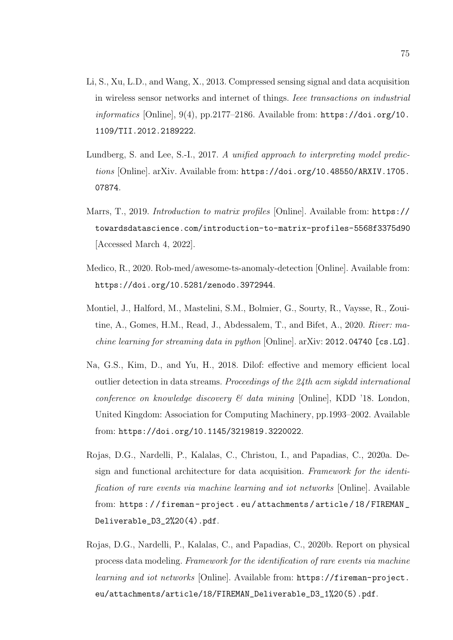- Li, S., Xu, L.D., and Wang, X., 2013. Compressed sensing signal and data acquisition in wireless sensor networks and internet of things. Ieee transactions on industrial  $informatics$  [Online], 9(4), pp.2177–2186. Available from: https://doi.org/10. 1109/TII.2012.2189222.
- Lundberg, S. and Lee, S.-I., 2017. A unified approach to interpreting model predictions [Online]. arXiv. Available from: https://doi.org/10.48550/ARXIV.1705. 07874.
- Marrs, T., 2019. Introduction to matrix profiles [Online]. Available from: https:// towardsdatascience.com/introduction-to-matrix-profiles-5568f3375d90 [Accessed March 4, 2022].
- Medico, R., 2020. Rob-med/awesome-ts-anomaly-detection [Online]. Available from: https://doi.org/10.5281/zenodo.3972944.
- Montiel, J., Halford, M., Mastelini, S.M., Bolmier, G., Sourty, R., Vaysse, R., Zouitine, A., Gomes, H.M., Read, J., Abdessalem, T., and Bifet, A., 2020. River: machine learning for streaming data in python [Online]. arXiv: 2012.04740 [cs.LG].
- Na, G.S., Kim, D., and Yu, H., 2018. Dilof: effective and memory efficient local outlier detection in data streams. Proceedings of the 24th acm sigkdd international conference on knowledge discovery  $\mathcal C$  data mining [Online], KDD '18. London, United Kingdom: Association for Computing Machinery, pp.1993–2002. Available from: https://doi.org/10.1145/3219819.3220022.
- Rojas, D.G., Nardelli, P., Kalalas, C., Christou, I., and Papadias, C., 2020a. Design and functional architecture for data acquisition. Framework for the identification of rare events via machine learning and iot networks [Online]. Available from: https : / / fireman - project . eu / attachments / article / 18 / FIREMAN \_ Deliverable\_D3\_2%20(4).pdf.
- Rojas, D.G., Nardelli, P., Kalalas, C., and Papadias, C., 2020b. Report on physical process data modeling. Framework for the identification of rare events via machine learning and iot networks [Online]. Available from: https://fireman-project. eu/attachments/article/18/FIREMAN\_Deliverable\_D3\_1%20(5).pdf.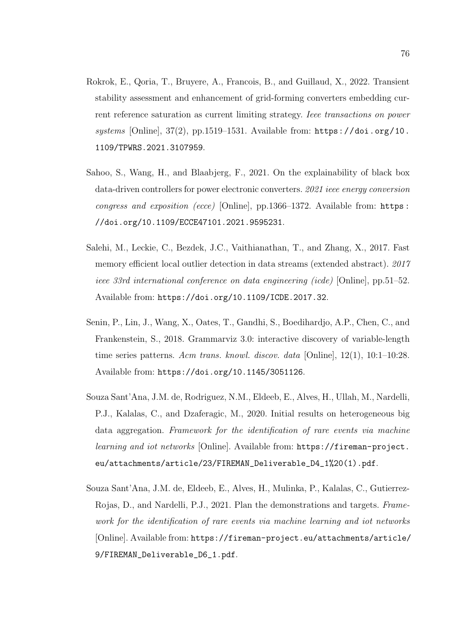- Rokrok, E., Qoria, T., Bruyere, A., Francois, B., and Guillaud, X., 2022. Transient stability assessment and enhancement of grid-forming converters embedding current reference saturation as current limiting strategy. Ieee transactions on power systems [Online],  $37(2)$ , pp.1519–1531. Available from: https://doi.org/10. 1109/TPWRS.2021.3107959.
- Sahoo, S., Wang, H., and Blaabjerg, F., 2021. On the explainability of black box data-driven controllers for power electronic converters. 2021 ieee energy conversion congress and exposition (ecce) [Online], pp.1366–1372. Available from: https : //doi.org/10.1109/ECCE47101.2021.9595231.
- Salehi, M., Leckie, C., Bezdek, J.C., Vaithianathan, T., and Zhang, X., 2017. Fast memory efficient local outlier detection in data streams (extended abstract). 2017 ieee 33rd international conference on data engineering (icde) [Online], pp.51–52. Available from: https://doi.org/10.1109/ICDE.2017.32.
- Senin, P., Lin, J., Wang, X., Oates, T., Gandhi, S., Boedihardjo, A.P., Chen, C., and Frankenstein, S., 2018. Grammarviz 3.0: interactive discovery of variable-length time series patterns. Acm trans. knowl. discov. data [Online], 12(1), 10:1–10:28. Available from: https://doi.org/10.1145/3051126.
- Souza Sant'Ana, J.M. de, Rodriguez, N.M., Eldeeb, E., Alves, H., Ullah, M., Nardelli, P.J., Kalalas, C., and Dzaferagic, M., 2020. Initial results on heterogeneous big data aggregation. Framework for the identification of rare events via machine learning and iot networks [Online]. Available from: https://fireman-project. eu/attachments/article/23/FIREMAN\_Deliverable\_D4\_1%20(1).pdf.
- Souza Sant'Ana, J.M. de, Eldeeb, E., Alves, H., Mulinka, P., Kalalas, C., Gutierrez-Rojas, D., and Nardelli, P.J., 2021. Plan the demonstrations and targets. Framework for the identification of rare events via machine learning and iot networks [Online]. Available from: https://fireman-project.eu/attachments/article/ 9/FIREMAN\_Deliverable\_D6\_1.pdf.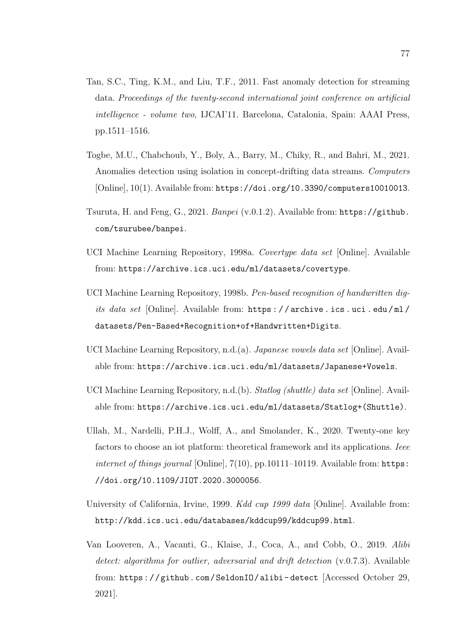- Tan, S.C., Ting, K.M., and Liu, T.F., 2011. Fast anomaly detection for streaming data. Proceedings of the twenty-second international joint conference on artificial intelligence - volume two, IJCAI'11. Barcelona, Catalonia, Spain: AAAI Press, pp.1511–1516.
- Togbe, M.U., Chabchoub, Y., Boly, A., Barry, M., Chiky, R., and Bahri, M., 2021. Anomalies detection using isolation in concept-drifting data streams. Computers [Online], 10(1). Available from: https://doi.org/10.3390/computers10010013.
- Tsuruta, H. and Feng, G., 2021. Banpei (v.0.1.2). Available from: https://github. com/tsurubee/banpei.
- UCI Machine Learning Repository, 1998a. Covertype data set [Online]. Available from: https://archive.ics.uci.edu/ml/datasets/covertype.
- UCI Machine Learning Repository, 1998b. Pen-based recognition of handwritten digits data set [Online]. Available from: https : / / archive . ics . uci . edu / ml / datasets/Pen-Based+Recognition+of+Handwritten+Digits.
- UCI Machine Learning Repository, n.d.(a). Japanese vowels data set [Online]. Available from: https://archive.ics.uci.edu/ml/datasets/Japanese+Vowels.
- UCI Machine Learning Repository, n.d.(b). Statlog (shuttle) data set [Online]. Available from: https://archive.ics.uci.edu/ml/datasets/Statlog+(Shuttle).
- Ullah, M., Nardelli, P.H.J., Wolff, A., and Smolander, K., 2020. Twenty-one key factors to choose an iot platform: theoretical framework and its applications. *Ieee* internet of things journal [Online], 7(10), pp.10111-10119. Available from: https: //doi.org/10.1109/JIOT.2020.3000056.
- University of California, Irvine, 1999. Kdd cup 1999 data [Online]. Available from: http://kdd.ics.uci.edu/databases/kddcup99/kddcup99.html.
- Van Looveren, A., Vacanti, G., Klaise, J., Coca, A., and Cobb, O., 2019. Alibi detect: algorithms for outlier, adversarial and drift detection (v.0.7.3). Available from: https://github.com/SeldonIO/alibi-detect [Accessed October 29, 2021].